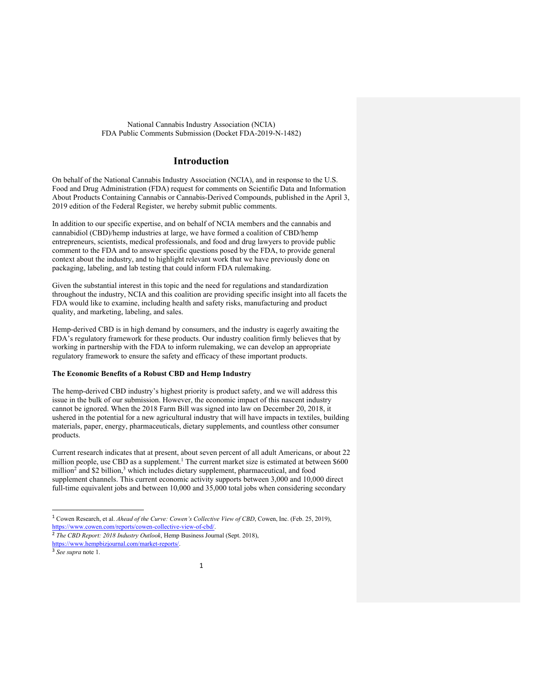## **Introduction**

On behalf of the National Cannabis Industry Association (NCIA), and in response to the U.S. Food and Drug Administration (FDA) request for comments on Scientific Data and Information About Products Containing Cannabis or Cannabis-Derived Compounds, published in the April 3, 2019 edition of the Federal Register, we hereby submit public comments.

In addition to our specific expertise, and on behalf of NCIA members and the cannabis and cannabidiol (CBD)/hemp industries at large, we have formed a coalition of CBD/hemp entrepreneurs, scientists, medical professionals, and food and drug lawyers to provide public comment to the FDA and to answer specific questions posed by the FDA, to provide general context about the industry, and to highlight relevant work that we have previously done on packaging, labeling, and lab testing that could inform FDA rulemaking.

Given the substantial interest in this topic and the need for regulations and standardization throughout the industry, NCIA and this coalition are providing specific insight into all facets the FDA would like to examine, including health and safety risks, manufacturing and product quality, and marketing, labeling, and sales.

Hemp-derived CBD is in high demand by consumers, and the industry is eagerly awaiting the FDA's regulatory framework for these products. Our industry coalition firmly believes that by working in partnership with the FDA to inform rulemaking, we can develop an appropriate regulatory framework to ensure the safety and efficacy of these important products.

## **The Economic Benefits of a Robust CBD and Hemp Industry**

The hemp-derived CBD industry's highest priority is product safety, and we will address this issue in the bulk of our submission. However, the economic impact of this nascent industry cannot be ignored. When the 2018 Farm Bill was signed into law on December 20, 2018, it ushered in the potential for a new agricultural industry that will have impacts in textiles, building materials, paper, energy, pharmaceuticals, dietary supplements, and countless other consumer products.

Current research indicates that at present, about seven percent of all adult Americans, or about 22 million people, use CBD as a supplement.<sup>1</sup> The current market size is estimated at between \$600 million<sup>2</sup> and \$2 billion,<sup>3</sup> which includes dietary supplement, pharmaceutical, and food supplement channels. This current economic activity supports between 3,000 and 10,000 direct full-time equivalent jobs and between 10,000 and 35,000 total jobs when considering secondary

 <sup>1</sup> Cowen Research, et al. *Ahead of the Curve: Cowen's Collective View of CBD*, Cowen, Inc. (Feb. 25, 2019), https://www.cowen.com/reports/cowen-collective-view-of-cbd/.

<sup>2</sup> *The CBD Report: 2018 Industry Outlook*, Hemp Business Journal (Sept. 2018),

https://www.hempbizjournal.com/market-reports/. <sup>3</sup> *See supra* note 1.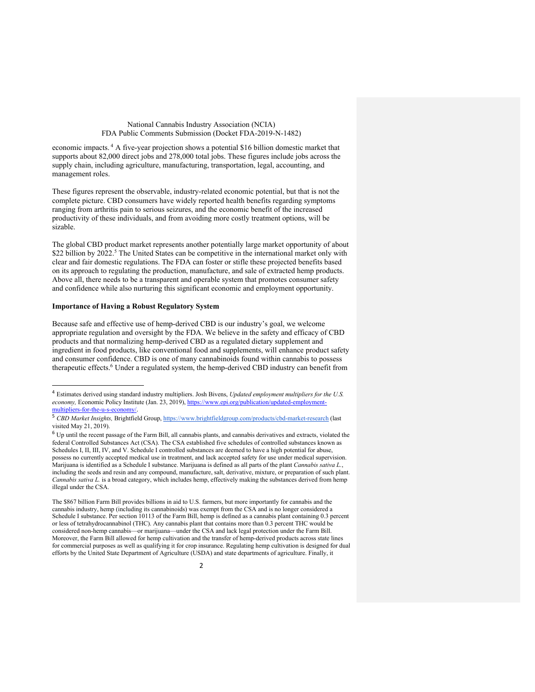economic impacts. <sup>4</sup> A five-year projection shows a potential \$16 billion domestic market that supports about 82,000 direct jobs and 278,000 total jobs. These figures include jobs across the supply chain, including agriculture, manufacturing, transportation, legal, accounting, and management roles.

These figures represent the observable, industry-related economic potential, but that is not the complete picture. CBD consumers have widely reported health benefits regarding symptoms ranging from arthritis pain to serious seizures, and the economic benefit of the increased productivity of these individuals, and from avoiding more costly treatment options, will be sizable.

The global CBD product market represents another potentially large market opportunity of about \$22 billion by 2022.<sup>5</sup> The United States can be competitive in the international market only with clear and fair domestic regulations. The FDA can foster or stifle these projected benefits based on its approach to regulating the production, manufacture, and sale of extracted hemp products. Above all, there needs to be a transparent and operable system that promotes consumer safety and confidence while also nurturing this significant economic and employment opportunity.

#### **Importance of Having a Robust Regulatory System**

Because safe and effective use of hemp-derived CBD is our industry's goal, we welcome appropriate regulation and oversight by the FDA. We believe in the safety and efficacy of CBD products and that normalizing hemp-derived CBD as a regulated dietary supplement and ingredient in food products, like conventional food and supplements, will enhance product safety and consumer confidence. CBD is one of many cannabinoids found within cannabis to possess therapeutic effects.6 Under a regulated system, the hemp-derived CBD industry can benefit from

 <sup>4</sup> Estimates derived using standard industry multipliers. Josh Bivens, *Updated employment multipliers for the U.S.*  economy, Economic Policy Institute (Jan. 23, 2019), https://www.epi.org/publication/updated-employmentmultipliers-for-the-u-s-economy/.

<sup>5</sup> *CBD Market Insights,* Brightfield Group, https://www.brightfieldgroup.com/products/cbd-market-research (last visited May 21, 2019).

<sup>6</sup> Up until the recent passage of the Farm Bill, all cannabis plants, and cannabis derivatives and extracts, violated the federal Controlled Substances Act (CSA). The CSA established five schedules of controlled substances known as Schedules I, II, III, IV, and V. Schedule I controlled substances are deemed to have a high potential for abuse, possess no currently accepted medical use in treatment, and lack accepted safety for use under medical supervision. Marijuana is identified as a Schedule I substance. Marijuana is defined as all parts of the plant *Cannabis sativa L.*, including the seeds and resin and any compound, manufacture, salt, derivative, mixture, or preparation of such plant. *Cannabis sativa L.* is a broad category, which includes hemp, effectively making the substances derived from hemp illegal under the CSA.

The \$867 billion Farm Bill provides billions in aid to U.S. farmers, but more importantly for cannabis and the cannabis industry, hemp (including its cannabinoids) was exempt from the CSA and is no longer considered a Schedule I substance. Per section 10113 of the Farm Bill, hemp is defined as a cannabis plant containing 0.3 percent or less of tetrahydrocannabinol (THC). Any cannabis plant that contains more than 0.3 percent THC would be considered non-hemp cannabis—or marijuana—under the CSA and lack legal protection under the Farm Bill. Moreover, the Farm Bill allowed for hemp cultivation and the transfer of hemp-derived products across state lines for commercial purposes as well as qualifying it for crop insurance. Regulating hemp cultivation is designed for dual efforts by the United State Department of Agriculture (USDA) and state departments of agriculture. Finally, it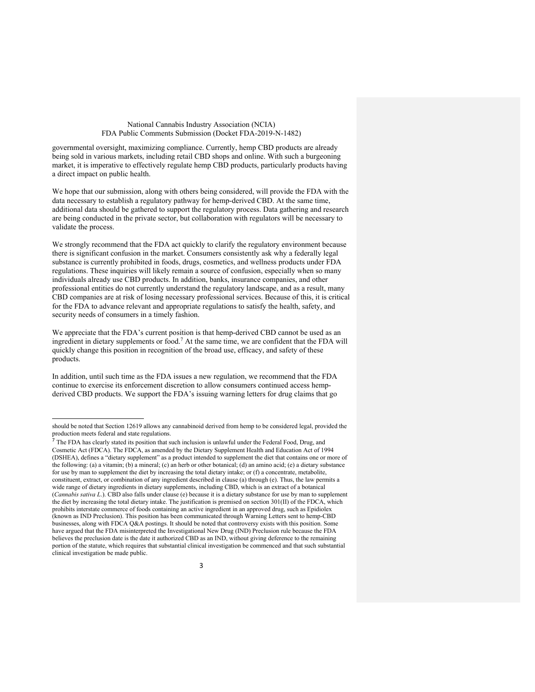governmental oversight, maximizing compliance. Currently, hemp CBD products are already being sold in various markets, including retail CBD shops and online. With such a burgeoning market, it is imperative to effectively regulate hemp CBD products, particularly products having a direct impact on public health.

We hope that our submission, along with others being considered, will provide the FDA with the data necessary to establish a regulatory pathway for hemp-derived CBD. At the same time, additional data should be gathered to support the regulatory process. Data gathering and research are being conducted in the private sector, but collaboration with regulators will be necessary to validate the process.

We strongly recommend that the FDA act quickly to clarify the regulatory environment because there is significant confusion in the market. Consumers consistently ask why a federally legal substance is currently prohibited in foods, drugs, cosmetics, and wellness products under FDA regulations. These inquiries will likely remain a source of confusion, especially when so many individuals already use CBD products. In addition, banks, insurance companies, and other professional entities do not currently understand the regulatory landscape, and as a result, many CBD companies are at risk of losing necessary professional services. Because of this, it is critical for the FDA to advance relevant and appropriate regulations to satisfy the health, safety, and security needs of consumers in a timely fashion.

We appreciate that the FDA's current position is that hemp-derived CBD cannot be used as an ingredient in dietary supplements or food.<sup>7</sup> At the same time, we are confident that the FDA will quickly change this position in recognition of the broad use, efficacy, and safety of these products.

In addition, until such time as the FDA issues a new regulation, we recommend that the FDA continue to exercise its enforcement discretion to allow consumers continued access hempderived CBD products. We support the FDA's issuing warning letters for drug claims that go

j

should be noted that Section 12619 allows any cannabinoid derived from hemp to be considered legal, provided the production meets federal and state regulations.

<sup>&</sup>lt;sup>7</sup> The FDA has clearly stated its position that such inclusion is unlawful under the Federal Food, Drug, and Cosmetic Act (FDCA). The FDCA, as amended by the Dietary Supplement Health and Education Act of 1994 (DSHEA), defines a "dietary supplement" as a product intended to supplement the diet that contains one or more of the following: (a) a vitamin; (b) a mineral; (c) an herb or other botanical; (d) an amino acid; (e) a dietary substance for use by man to supplement the diet by increasing the total dietary intake; or (f) a concentrate, metabolite, constituent, extract, or combination of any ingredient described in clause (a) through (e). Thus, the law permits a wide range of dietary ingredients in dietary supplements, including CBD, which is an extract of a botanical (*Cannabis sativa L*.). CBD also falls under clause (e) because it is a dietary substance for use by man to supplement the diet by increasing the total dietary intake. The justification is premised on section 301(II) of the FDCA, which prohibits interstate commerce of foods containing an active ingredient in an approved drug, such as Epidiolex (known as IND Preclusion). This position has been communicated through Warning Letters sent to hemp-CBD businesses, along with FDCA Q&A postings. It should be noted that controversy exists with this position. Some have argued that the FDA misinterpreted the Investigational New Drug (IND) Preclusion rule because the FDA believes the preclusion date is the date it authorized CBD as an IND, without giving deference to the remaining portion of the statute, which requires that substantial clinical investigation be commenced and that such substantial clinical investigation be made public.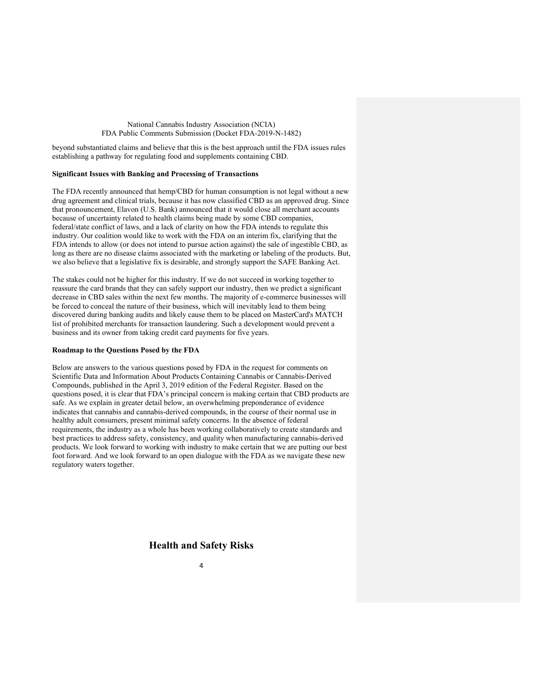beyond substantiated claims and believe that this is the best approach until the FDA issues rules establishing a pathway for regulating food and supplements containing CBD.

## **Significant Issues with Banking and Processing of Transactions**

The FDA recently announced that hemp/CBD for human consumption is not legal without a new drug agreement and clinical trials, because it has now classified CBD as an approved drug. Since that pronouncement, Elavon (U.S. Bank) announced that it would close all merchant accounts because of uncertainty related to health claims being made by some CBD companies, federal/state conflict of laws, and a lack of clarity on how the FDA intends to regulate this industry. Our coalition would like to work with the FDA on an interim fix, clarifying that the FDA intends to allow (or does not intend to pursue action against) the sale of ingestible CBD, as long as there are no disease claims associated with the marketing or labeling of the products. But, we also believe that a legislative fix is desirable, and strongly support the SAFE Banking Act.

The stakes could not be higher for this industry. If we do not succeed in working together to reassure the card brands that they can safely support our industry, then we predict a significant decrease in CBD sales within the next few months. The majority of e-commerce businesses will be forced to conceal the nature of their business, which will inevitably lead to them being discovered during banking audits and likely cause them to be placed on MasterCard's MATCH list of prohibited merchants for transaction laundering. Such a development would prevent a business and its owner from taking credit card payments for five years.

## **Roadmap to the Questions Posed by the FDA**

Below are answers to the various questions posed by FDA in the request for comments on Scientific Data and Information About Products Containing Cannabis or Cannabis-Derived Compounds, published in the April 3, 2019 edition of the Federal Register. Based on the questions posed, it is clear that FDA's principal concern is making certain that CBD products are safe. As we explain in greater detail below, an overwhelming preponderance of evidence indicates that cannabis and cannabis-derived compounds, in the course of their normal use in healthy adult consumers, present minimal safety concerns. In the absence of federal requirements, the industry as a whole has been working collaboratively to create standards and best practices to address safety, consistency, and quality when manufacturing cannabis-derived products. We look forward to working with industry to make certain that we are putting our best foot forward. And we look forward to an open dialogue with the FDA as we navigate these new regulatory waters together.

## **Health and Safety Risks**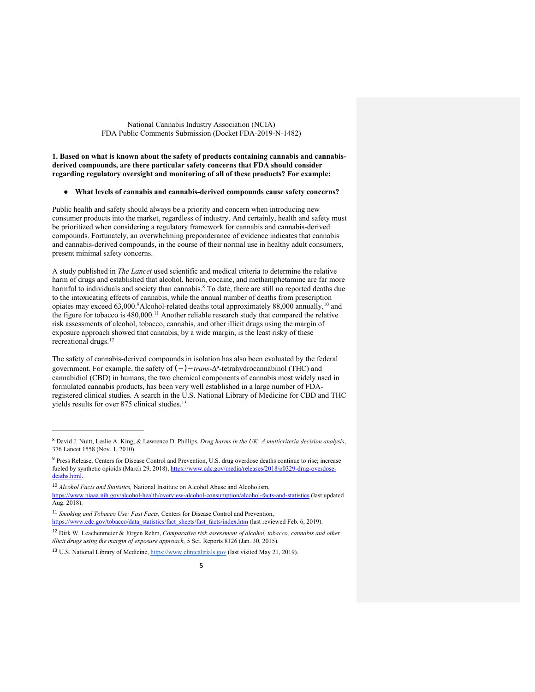#### **1. Based on what is known about the safety of products containing cannabis and cannabisderived compounds, are there particular safety concerns that FDA should consider regarding regulatory oversight and monitoring of all of these products? For example:**

### ● **What levels of cannabis and cannabis-derived compounds cause safety concerns?**

Public health and safety should always be a priority and concern when introducing new consumer products into the market, regardless of industry. And certainly, health and safety must be prioritized when considering a regulatory framework for cannabis and cannabis-derived compounds. Fortunately, an overwhelming preponderance of evidence indicates that cannabis and cannabis-derived compounds, in the course of their normal use in healthy adult consumers, present minimal safety concerns.

A study published in *The Lancet* used scientific and medical criteria to determine the relative harm of drugs and established that alcohol, heroin, cocaine, and methamphetamine are far more harmful to individuals and society than cannabis.<sup>8</sup> To date, there are still no reported deaths due to the intoxicating effects of cannabis, while the annual number of deaths from prescription opiates may exceed 63,000.<sup>9</sup>Alcohol-related deaths total approximately 88,000 annually,<sup>10</sup> and the figure for tobacco is 480,000.11 Another reliable research study that compared the relative risk assessments of alcohol, tobacco, cannabis, and other illicit drugs using the margin of exposure approach showed that cannabis, by a wide margin, is the least risky of these recreational drugs.12

The safety of cannabis-derived compounds in isolation has also been evaluated by the federal government. For example, the safety of  $(-)$ -*trans*-Δ<sup>9</sup>-tetrahydrocannabinol (THC) and cannabidiol (CBD) in humans, the two chemical components of cannabis most widely used in formulated cannabis products, has been very well established in a large number of FDAregistered clinical studies. A search in the U.S. National Library of Medicine for CBD and THC yields results for over 875 clinical studies.<sup>13</sup>

 $\overline{a}$ 

<sup>8</sup> David J. Nuitt, Leslie A. King, & Lawrence D. Phillips, *Drug harms in the UK: A multicriteria decision analysis*, 376 Lancet 1558 (Nov. 1, 2010).

<sup>9</sup> Press Release, Centers for Disease Control and Prevention, U.S. drug overdose deaths continue to rise; increase fueled by synthetic opioids (March 29, 2018), https://www.cdc.gov/media/releases/2018/p0329-drug-overdosedeaths.html.

<sup>10</sup> *Alcohol Facts and Statistics,* National Institute on Alcohol Abuse and Alcoholism, https://www.niaaa.nih.gov/alcohol-health/overview-alcohol-consumption/alcohol-facts-and-statistics (last updated Aug. 2018).

<sup>11</sup> *Smoking and Tobacco Use: Fast Facts,* Centers for Disease Control and Prevention, https://www.cdc.gov/tobacco/data\_statistics/fact\_sheets/fast\_facts/index.htm (last reviewed Feb. 6, 2019).

<sup>12</sup> Dirk W. Leachenmeier & Jürgen Rehm, *Comparative risk assessment of alcohol, tobacco, cannabis and other illicit drugs using the margin of exposure approach,* 5 Sci. Reports 8126 (Jan. 30, 2015).

<sup>13</sup> U.S. National Library of Medicine, https://www.clinicaltrials.gov (last visited May 21, 2019).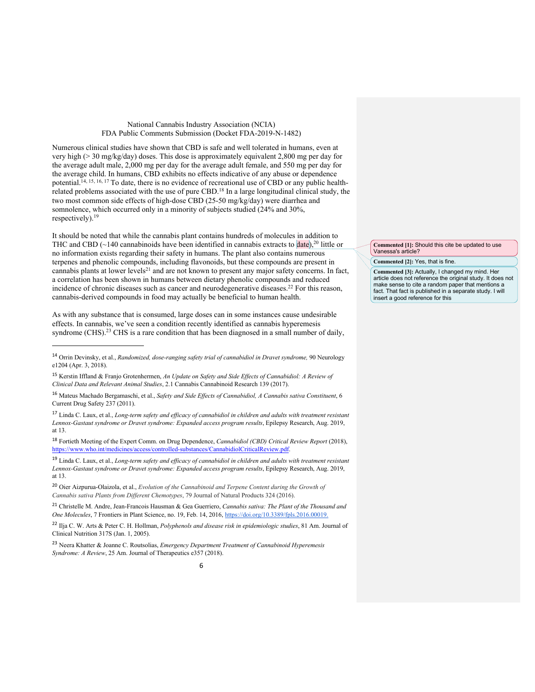Numerous clinical studies have shown that CBD is safe and well tolerated in humans, even at very high (> 30 mg/kg/day) doses. This dose is approximately equivalent 2,800 mg per day for the average adult male, 2,000 mg per day for the average adult female, and 550 mg per day for the average child. In humans, CBD exhibits no effects indicative of any abuse or dependence potential.<sup>14, 15, 16, 17</sup> To date, there is no evidence of recreational use of CBD or any public healthrelated problems associated with the use of pure CBD.18 In a large longitudinal clinical study, the two most common side effects of high-dose CBD (25-50 mg/kg/day) were diarrhea and somnolence, which occurred only in a minority of subjects studied (24% and 30%, respectively).19

It should be noted that while the cannabis plant contains hundreds of molecules in addition to THC and CBD ( $\sim$ 140 cannabinoids have been identified in cannabis extracts to date),<sup>20</sup> little or no information exists regarding their safety in humans. The plant also contains numerous terpenes and phenolic compounds, including flavonoids, but these compounds are present in cannabis plants at lower levels<sup>21</sup> and are not known to present any major safety concerns. In fact, a correlation has been shown in humans between dietary phenolic compounds and reduced incidence of chronic diseases such as cancer and neurodegenerative diseases.22 For this reason, cannabis-derived compounds in food may actually be beneficial to human health.

As with any substance that is consumed, large doses can in some instances cause undesirable effects. In cannabis, we've seen a condition recently identified as cannabis hyperemesis syndrome (CHS).<sup>23</sup> CHS is a rare condition that has been diagnosed in a small number of daily,

 $\overline{a}$ 

<sup>17</sup> Linda C. Laux, et al., *Long-term safety and efficacy of cannabidiol in children and adults with treatment resistant Lennox-Gastaut syndrome or Dravet syndrome: Expanded access program results*, Epilepsy Research, Aug. 2019, at 13.

<sup>18</sup> Fortieth Meeting of the Expert Comm. on Drug Dependence, *Cannabidiol (CBD) Critical Review Report* (2018), https://www.who.int/medicines/access/controlled-substances/CannabidiolCriticalReview.pdf.

<sup>19</sup> Linda C. Laux, et al., *Long-term safety and efficacy of cannabidiol in children and adults with treatment resistant Lennox-Gastaut syndrome or Dravet syndrome: Expanded access program results*, Epilepsy Research, Aug. 2019, at 13.

<sup>20</sup> Oier Aizpurua-Olaizola, et al., *Evolution of the Cannabinoid and Terpene Content during the Growth of Cannabis sativa Plants from Different Chemotypes*, 79 Journal of Natural Products 324 (2016).

<sup>21</sup> Christelle M. Andre, Jean-Francois Hausman & Gea Guerriero, *Cannabis sativa: The Plant of the Thousand and One Molecules*, 7 Frontiers in Plant Science, no. 19, Feb. 14, 2016, https://doi.org/10.3389/fpls.2016.00019.

<sup>22</sup> Ilja C. W. Arts & Peter C. H. Hollman, *Polyphenols and disease risk in epidemiologic studies*, 81 Am. Journal of Clinical Nutrition 317S (Jan. 1, 2005).

<sup>23</sup> Neera Khatter & Joanne C. Routsolias, *Emergency Department Treatment of Cannabinoid Hyperemesis Syndrome: A Review*, 25 Am. Journal of Therapeutics e357 (2018).

**Commented [1]:** Should this cite be updated to use Vanessa's article?

**Commented [2]:** Yes, that is fine.

**Commented [3]:** Actually, I changed my mind. Her article does not reference the original study. It does not make sense to cite a random paper that mentions a fact. That fact is published in a separate study. I will insert a good reference for this

<sup>14</sup> Orrin Devinsky, et al., *Randomized, dose-ranging safety trial of cannabidiol in Dravet syndrome,* 90 Neurology e1204 (Apr. 3, 2018).

<sup>15</sup> Kerstin Iffland & Franjo Grotenhermen, *An Update on Safety and Side Effects of Cannabidiol: A Review of Clinical Data and Relevant Animal Studies*, 2.1 Cannabis Cannabinoid Research 139 (2017).

<sup>16</sup> Mateus Machado Bergamaschi, et al., *Safety and Side Effects of Cannabidiol, A Cannabis sativa Constituent*, 6 Current Drug Safety 237 (2011).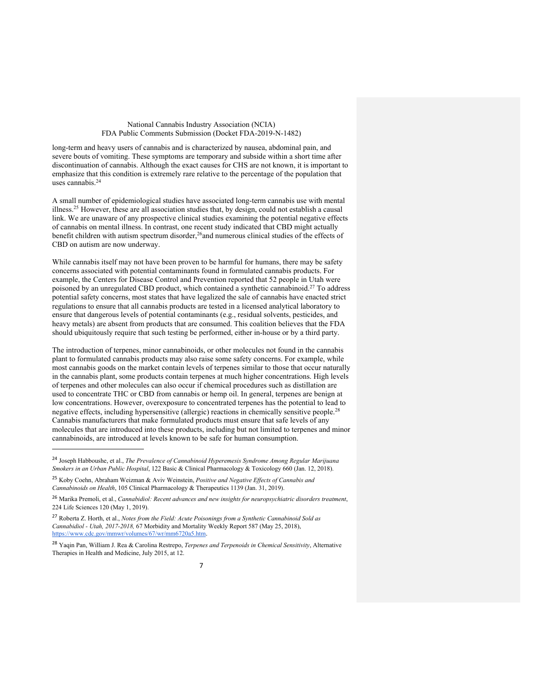long-term and heavy users of cannabis and is characterized by nausea, abdominal pain, and severe bouts of vomiting. These symptoms are temporary and subside within a short time after discontinuation of cannabis. Although the exact causes for CHS are not known, it is important to emphasize that this condition is extremely rare relative to the percentage of the population that uses cannabis.24

A small number of epidemiological studies have associated long-term cannabis use with mental illness.<sup>25</sup> However, these are all association studies that, by design, could not establish a causal link. We are unaware of any prospective clinical studies examining the potential negative effects of cannabis on mental illness. In contrast, one recent study indicated that CBD might actually benefit children with autism spectrum disorder,<sup>26</sup>and numerous clinical studies of the effects of CBD on autism are now underway.

While cannabis itself may not have been proven to be harmful for humans, there may be safety concerns associated with potential contaminants found in formulated cannabis products. For example, the Centers for Disease Control and Prevention reported that 52 people in Utah were poisoned by an unregulated CBD product, which contained a synthetic cannabinoid.27 To address potential safety concerns, most states that have legalized the sale of cannabis have enacted strict regulations to ensure that all cannabis products are tested in a licensed analytical laboratory to ensure that dangerous levels of potential contaminants (e.g., residual solvents, pesticides, and heavy metals) are absent from products that are consumed. This coalition believes that the FDA should ubiquitously require that such testing be performed, either in-house or by a third party.

The introduction of terpenes, minor cannabinoids, or other molecules not found in the cannabis plant to formulated cannabis products may also raise some safety concerns. For example, while most cannabis goods on the market contain levels of terpenes similar to those that occur naturally in the cannabis plant, some products contain terpenes at much higher concentrations. High levels of terpenes and other molecules can also occur if chemical procedures such as distillation are used to concentrate THC or CBD from cannabis or hemp oil. In general, terpenes are benign at low concentrations. However, overexposure to concentrated terpenes has the potential to lead to negative effects, including hypersensitive (allergic) reactions in chemically sensitive people.<sup>28</sup> Cannabis manufacturers that make formulated products must ensure that safe levels of any molecules that are introduced into these products, including but not limited to terpenes and minor cannabinoids, are introduced at levels known to be safe for human consumption.

 $\overline{a}$ 

<sup>24</sup> Joseph Habboushe, et al., *The Prevalence of Cannabinoid Hyperemesis Syndrome Among Regular Marijuana Smokers in an Urban Public Hospital*, 122 Basic & Clinical Pharmacology & Toxicology 660 (Jan. 12, 2018).

<sup>25</sup> Koby Coehn, Abraham Weizman & Aviv Weinstein, *Positive and Negative Effects of Cannabis and Cannabinoids on Health*, 105 Clinical Pharmacology & Therapeutics 1139 (Jan. 31, 2019).

<sup>26</sup> Marika Premoli, et al., *Cannabidiol: Recent advances and new insights for neuropsychiatric disorders treatment*, 224 Life Sciences 120 (May 1, 2019).

<sup>27</sup> Roberta Z. Horth, et al., *Notes from the Field: Acute Poisonings from a Synthetic Cannabinoid Sold as Cannabidiol - Utah, 2017-2018,* 67 Morbidity and Mortality Weekly Report 587 (May 25, 2018), https://www.cdc.gov/mmwr/volumes/67/wr/mm6720a5.htm.

<sup>28</sup> Yaqin Pan, William J. Rea & Carolina Restrepo, *Terpenes and Terpenoids in Chemical Sensitivity*, Alternative Therapies in Health and Medicine, July 2015, at 12.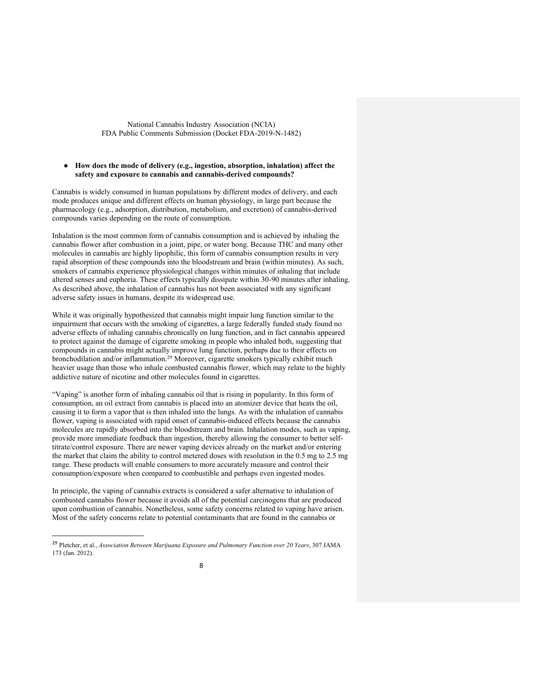## ● **How does the mode of delivery (e.g., ingestion, absorption, inhalation) affect the safety and exposure to cannabis and cannabis-derived compounds?**

Cannabis is widely consumed in human populations by different modes of delivery, and each mode produces unique and different effects on human physiology, in large part because the pharmacology (e.g., adsorption, distribution, metabolism, and excretion) of cannabis-derived compounds varies depending on the route of consumption.

Inhalation is the most common form of cannabis consumption and is achieved by inhaling the cannabis flower after combustion in a joint, pipe, or water bong. Because THC and many other molecules in cannabis are highly lipophilic, this form of cannabis consumption results in very rapid absorption of these compounds into the bloodstream and brain (within minutes). As such, smokers of cannabis experience physiological changes within minutes of inhaling that include altered senses and euphoria. These effects typically dissipate within 30-90 minutes after inhaling. As described above, the inhalation of cannabis has not been associated with any significant adverse safety issues in humans, despite its widespread use.

While it was originally hypothesized that cannabis might impair lung function similar to the impairment that occurs with the smoking of cigarettes, a large federally funded study found no adverse effects of inhaling cannabis chronically on lung function, and in fact cannabis appeared to protect against the damage of cigarette smoking in people who inhaled both, suggesting that compounds in cannabis might actually improve lung function, perhaps due to their effects on bronchodilation and/or inflammation.29 Moreover, cigarette smokers typically exhibit much heavier usage than those who inhale combusted cannabis flower, which may relate to the highly addictive nature of nicotine and other molecules found in cigarettes.

"Vaping" is another form of inhaling cannabis oil that is rising in popularity. In this form of consumption, an oil extract from cannabis is placed into an atomizer device that heats the oil, causing it to form a vapor that is then inhaled into the lungs. As with the inhalation of cannabis flower, vaping is associated with rapid onset of cannabis-induced effects because the cannabis molecules are rapidly absorbed into the bloodstream and brain. Inhalation modes, such as vaping, provide more immediate feedback than ingestion, thereby allowing the consumer to better selftitrate/control exposure. There are newer vaping devices already on the market and/or entering the market that claim the ability to control metered doses with resolution in the 0.5 mg to 2.5 mg range. These products will enable consumers to more accurately measure and control their consumption/exposure when compared to combustible and perhaps even ingested modes.

In principle, the vaping of cannabis extracts is considered a safer alternative to inhalation of combusted cannabis flower because it avoids all of the potential carcinogens that are produced upon combustion of cannabis. Nonetheless, some safety concerns related to vaping have arisen. Most of the safety concerns relate to potential contaminants that are found in the cannabis or

 <sup>29</sup> Pletcher, et al., *Association Between Marijuana Exposure and Pulmonary Function over 20 Years*, 307 JAMA 173 (Jan. 2012).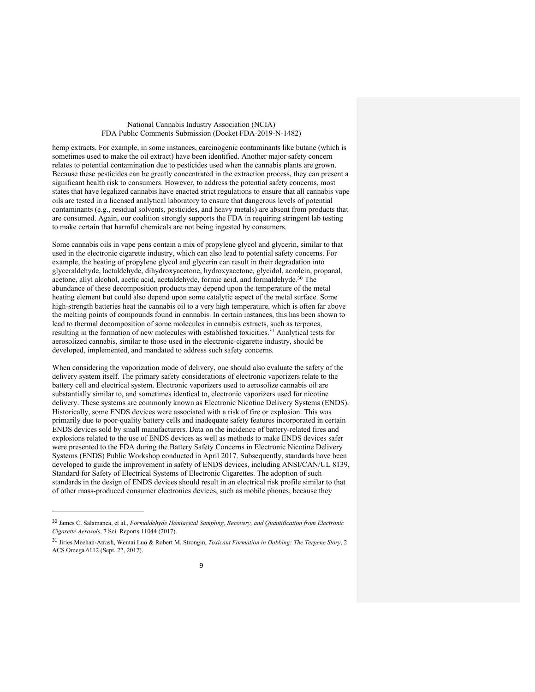hemp extracts. For example, in some instances, carcinogenic contaminants like butane (which is sometimes used to make the oil extract) have been identified. Another major safety concern relates to potential contamination due to pesticides used when the cannabis plants are grown. Because these pesticides can be greatly concentrated in the extraction process, they can present a significant health risk to consumers. However, to address the potential safety concerns, most states that have legalized cannabis have enacted strict regulations to ensure that all cannabis vape oils are tested in a licensed analytical laboratory to ensure that dangerous levels of potential contaminants (e.g., residual solvents, pesticides, and heavy metals) are absent from products that are consumed. Again, our coalition strongly supports the FDA in requiring stringent lab testing to make certain that harmful chemicals are not being ingested by consumers.

Some cannabis oils in vape pens contain a mix of propylene glycol and glycerin, similar to that used in the electronic cigarette industry, which can also lead to potential safety concerns. For example, the heating of propylene glycol and glycerin can result in their degradation into glyceraldehyde, lactaldehyde, dihydroxyacetone, hydroxyacetone, glycidol, acrolein, propanal, acetone, allyl alcohol, acetic acid, acetaldehyde, formic acid, and formaldehyde.<sup>30</sup> The abundance of these decomposition products may depend upon the temperature of the metal heating element but could also depend upon some catalytic aspect of the metal surface. Some high-strength batteries heat the cannabis oil to a very high temperature, which is often far above the melting points of compounds found in cannabis. In certain instances, this has been shown to lead to thermal decomposition of some molecules in cannabis extracts, such as terpenes, resulting in the formation of new molecules with established toxicities.31 Analytical tests for aerosolized cannabis, similar to those used in the electronic-cigarette industry, should be developed, implemented, and mandated to address such safety concerns.

When considering the vaporization mode of delivery, one should also evaluate the safety of the delivery system itself. The primary safety considerations of electronic vaporizers relate to the battery cell and electrical system. Electronic vaporizers used to aerosolize cannabis oil are substantially similar to, and sometimes identical to, electronic vaporizers used for nicotine delivery. These systems are commonly known as Electronic Nicotine Delivery Systems (ENDS). Historically, some ENDS devices were associated with a risk of fire or explosion. This was primarily due to poor-quality battery cells and inadequate safety features incorporated in certain ENDS devices sold by small manufacturers. Data on the incidence of battery-related fires and explosions related to the use of ENDS devices as well as methods to make ENDS devices safer were presented to the FDA during the Battery Safety Concerns in Electronic Nicotine Delivery Systems (ENDS) Public Workshop conducted in April 2017. Subsequently, standards have been developed to guide the improvement in safety of ENDS devices, including ANSI/CAN/UL 8139, Standard for Safety of Electrical Systems of Electronic Cigarettes. The adoption of such standards in the design of ENDS devices should result in an electrical risk profile similar to that of other mass-produced consumer electronics devices, such as mobile phones, because they

j

<sup>30</sup> James C. Salamanca, et al., *Formaldehyde Hemiacetal Sampling, Recovery, and Quantification from Electronic Cigarette Aerosols*, 7 Sci. Reports 11044 (2017).

<sup>31</sup> Jiries Meehan-Atrash, Wentai Luo & Robert M. Strongin, *Toxicant Formation in Dabbing: The Terpene Story*, 2 ACS Omega 6112 (Sept. 22, 2017).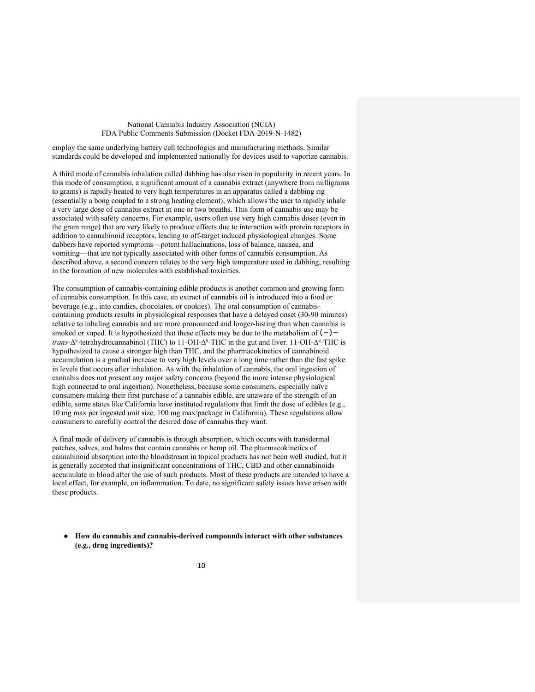employ the same underlying battery cell technologies and manufacturing methods. Similar standards could be developed and implemented nationally for devices used to vaporize cannabis.

A third mode of cannabis inhalation called dabbing has also risen in popularity in recent years. In this mode of consumption, a significant amount of a cannabis extract (anywhere from milligrams to grams) is rapidly heated to very high temperatures in an apparatus called a dabbing rig (essentially a bong coupled to a strong heating element), which allows the user to rapidly inhale a very large dose of cannabis extract in one or two breaths. This form of cannabis use may be associated with safety concerns. For example, users often use very high cannabis doses (even in the gram range) that are very likely to produce effects due to interaction with protein receptors in addition to cannabinoid receptors, leading to off-target induced physiological changes. Some dabbers have reported symptoms—potent hallucinations, loss of balance, nausea, and vomiting—that are not typically associated with other forms of cannabis consumption. As described above, a second concern relates to the very high temperature used in dabbing, resulting in the formation of new molecules with established toxicities.

The consumption of cannabis-containing edible products is another common and growing form of cannabis consumption. In this case, an extract of cannabis oil is introduced into a food or beverage (e.g., into candies, chocolates, or cookies). The oral consumption of cannabiscontaining products results in physiological responses that have a delayed onset (30-90 minutes) relative to inhaling cannabis and are more pronounced and longer-lasting than when cannabis is smoked or vaped. It is hypothesized that these effects may be due to the metabolism of  $(-)$ *trans*-Δ<sup>9</sup>-tetrahydrocannabinol (THC) to 11-OH-Δ<sup>9</sup>-THC in the gut and liver. 11-OH-Δ<sup>9</sup>-THC is hypothesized to cause a stronger high than THC, and the pharmacokinetics of cannabinoid accumulation is a gradual increase to very high levels over a long time rather than the fast spike in levels that occurs after inhalation. As with the inhalation of cannabis, the oral ingestion of cannabis does not present any major safety concerns (beyond the more intense physiological high connected to oral ingestion). Nonetheless, because some consumers, especially naïve consumers making their first purchase of a cannabis edible, are unaware of the strength of an edible, some states like California have instituted regulations that limit the dose of edibles (e.g., 10 mg max per ingested unit size, 100 mg max/package in California). These regulations allow consumers to carefully control the desired dose of cannabis they want.

A final mode of delivery of cannabis is through absorption, which occurs with transdermal patches, salves, and balms that contain cannabis or hemp oil. The pharmacokinetics of cannabinoid absorption into the bloodstream in topical products has not been well studied, but it is generally accepted that insignificant concentrations of THC, CBD and other cannabinoids accumulate in blood after the use of such products. Most of these products are intended to have a local effect, for example, on inflammation. To date, no significant safety issues have arisen with these products.

● **How do cannabis and cannabis-derived compounds interact with other substances (e.g., drug ingredients)?**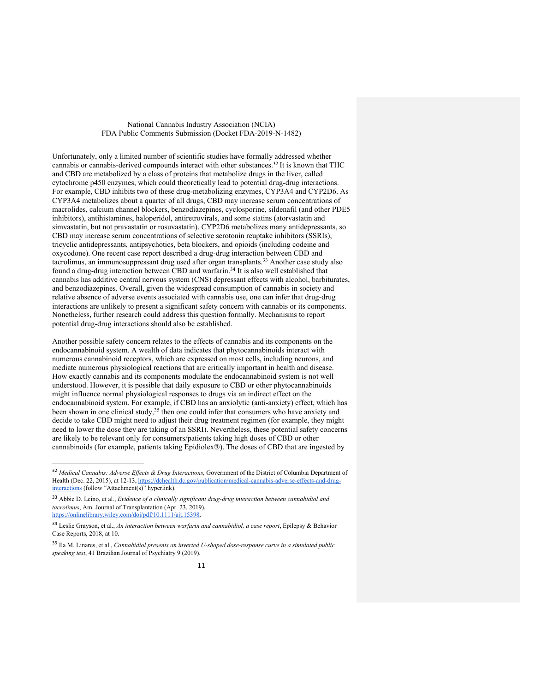Unfortunately, only a limited number of scientific studies have formally addressed whether cannabis or cannabis-derived compounds interact with other substances.32 It is known that THC and CBD are metabolized by a class of proteins that metabolize drugs in the liver, called cytochrome p450 enzymes, which could theoretically lead to potential drug-drug interactions. For example, CBD inhibits two of these drug-metabolizing enzymes, CYP3A4 and CYP2D6. As CYP3A4 metabolizes about a quarter of all drugs, CBD may increase serum concentrations of macrolides, calcium channel blockers, benzodiazepines, cyclosporine, sildenafil (and other PDE5 inhibitors), antihistamines, haloperidol, antiretrovirals, and some statins (atorvastatin and simvastatin, but not pravastatin or rosuvastatin). CYP2D6 metabolizes many antidepressants, so CBD may increase serum concentrations of selective serotonin reuptake inhibitors (SSRIs), tricyclic antidepressants, antipsychotics, beta blockers, and opioids (including codeine and oxycodone). One recent case report described a drug-drug interaction between CBD and tacrolimus, an immunosuppressant drug used after organ transplants.<sup>33</sup> Another case study also found a drug-drug interaction between CBD and warfarin.<sup>34</sup> It is also well established that cannabis has additive central nervous system (CNS) depressant effects with alcohol, barbiturates, and benzodiazepines. Overall, given the widespread consumption of cannabis in society and relative absence of adverse events associated with cannabis use, one can infer that drug-drug interactions are unlikely to present a significant safety concern with cannabis or its components. Nonetheless, further research could address this question formally. Mechanisms to report potential drug-drug interactions should also be established.

Another possible safety concern relates to the effects of cannabis and its components on the endocannabinoid system. A wealth of data indicates that phytocannabinoids interact with numerous cannabinoid receptors, which are expressed on most cells, including neurons, and mediate numerous physiological reactions that are critically important in health and disease. How exactly cannabis and its components modulate the endocannabinoid system is not well understood. However, it is possible that daily exposure to CBD or other phytocannabinoids might influence normal physiological responses to drugs via an indirect effect on the endocannabinoid system. For example, if CBD has an anxiolytic (anti-anxiety) effect, which has been shown in one clinical study, $35$  then one could infer that consumers who have anxiety and decide to take CBD might need to adjust their drug treatment regimen (for example, they might need to lower the dose they are taking of an SSRI). Nevertheless, these potential safety concerns are likely to be relevant only for consumers/patients taking high doses of CBD or other cannabinoids (for example, patients taking Epidiolex®). The doses of CBD that are ingested by

 <sup>32</sup> *Medical Cannabis: Adverse Effects & Drug Interactions*, Government of the District of Columbia Department of Health (Dec. 22, 2015), at 12-13, https://dchealth.dc.gov/publication/medical-cannabis-adverse-effects-and-druginteractions (follow "Attachment(s)" hyperlink).

<sup>33</sup> Abbie D. Leino, et al., *Evidence of a clinically significant drug-drug interaction between cannabidiol and tacrolimus*, Am. Journal of Transplantation (Apr. 23, 2019), https://onlinelibrary.wiley.com/doi/pdf/10.1111/ajt.15398.

<sup>34</sup> Leslie Grayson, et al., *An interaction between warfarin and cannabidiol, a case report*, Epilepsy & Behavior Case Reports, 2018, at 10.

<sup>35</sup> Ila M. Linares, et al., *Cannabidiol presents an inverted U-shaped dose-response curve in a simulated public speaking test*, 41 Brazilian Journal of Psychiatry 9 (2019).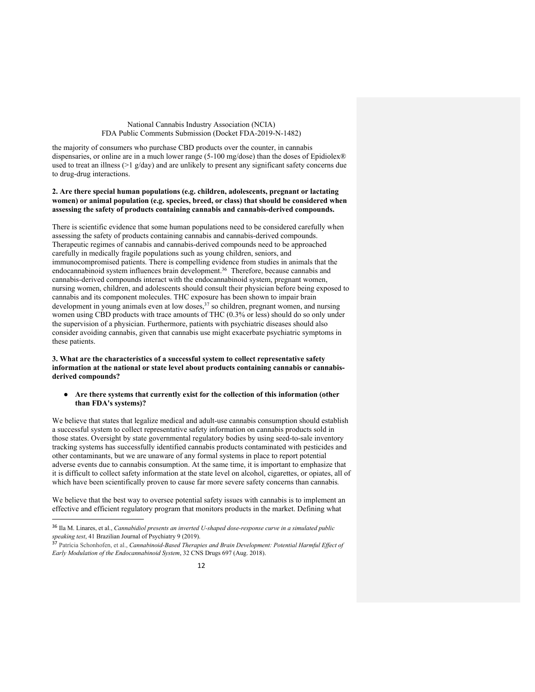the majority of consumers who purchase CBD products over the counter, in cannabis dispensaries, or online are in a much lower range (5-100 mg/dose) than the doses of Epidiolex® used to treat an illness (>1 g/day) and are unlikely to present any significant safety concerns due to drug-drug interactions.

## **2. Are there special human populations (e.g. children, adolescents, pregnant or lactating women) or animal population (e.g. species, breed, or class) that should be considered when assessing the safety of products containing cannabis and cannabis-derived compounds.**

There is scientific evidence that some human populations need to be considered carefully when assessing the safety of products containing cannabis and cannabis-derived compounds. Therapeutic regimes of cannabis and cannabis-derived compounds need to be approached carefully in medically fragile populations such as young children, seniors, and immunocompromised patients. There is compelling evidence from studies in animals that the endocannabinoid system influences brain development.<sup>36</sup> Therefore, because cannabis and cannabis-derived compounds interact with the endocannabinoid system, pregnant women, nursing women, children, and adolescents should consult their physician before being exposed to cannabis and its component molecules. THC exposure has been shown to impair brain development in young animals even at low doses,  $37$  so children, pregnant women, and nursing women using CBD products with trace amounts of THC (0.3% or less) should do so only under the supervision of a physician. Furthermore, patients with psychiatric diseases should also consider avoiding cannabis, given that cannabis use might exacerbate psychiatric symptoms in these patients.

#### **3. What are the characteristics of a successful system to collect representative safety information at the national or state level about products containing cannabis or cannabisderived compounds?**

● **Are there systems that currently exist for the collection of this information (other than FDA's systems)?**

We believe that states that legalize medical and adult-use cannabis consumption should establish a successful system to collect representative safety information on cannabis products sold in those states. Oversight by state governmental regulatory bodies by using seed-to-sale inventory tracking systems has successfully identified cannabis products contaminated with pesticides and other contaminants, but we are unaware of any formal systems in place to report potential adverse events due to cannabis consumption. At the same time, it is important to emphasize that it is difficult to collect safety information at the state level on alcohol, cigarettes, or opiates, all of which have been scientifically proven to cause far more severe safety concerns than cannabis*.*

We believe that the best way to oversee potential safety issues with cannabis is to implement an effective and efficient regulatory program that monitors products in the market. Defining what

 <sup>36</sup> Ila M. Linares, et al., *Cannabidiol presents an inverted U-shaped dose-response curve in a simulated public speaking test*, 41 Brazilian Journal of Psychiatry 9 (2019).

<sup>37</sup> Patrícia Schonhofen, et al., *Cannabinoid-Based Therapies and Brain Development: Potential Harmful Effect of Early Modulation of the Endocannabinoid System*, 32 CNS Drugs 697 (Aug. 2018).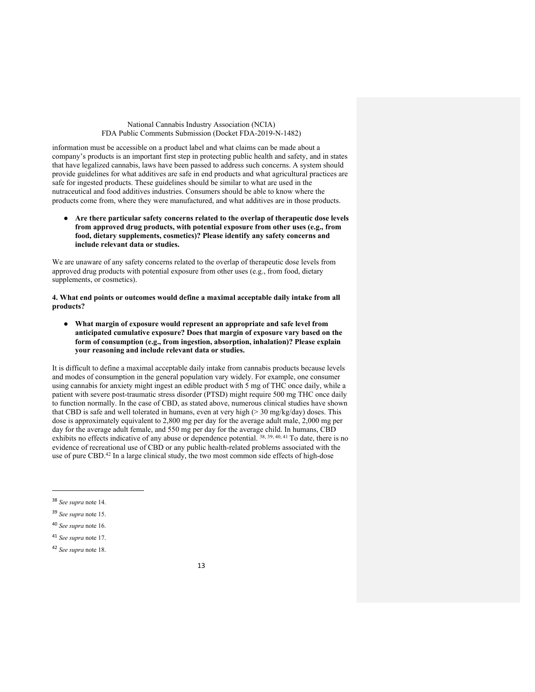information must be accessible on a product label and what claims can be made about a company's products is an important first step in protecting public health and safety, and in states that have legalized cannabis, laws have been passed to address such concerns. A system should provide guidelines for what additives are safe in end products and what agricultural practices are safe for ingested products. These guidelines should be similar to what are used in the nutraceutical and food additives industries. Consumers should be able to know where the products come from, where they were manufactured, and what additives are in those products.

● **Are there particular safety concerns related to the overlap of therapeutic dose levels from approved drug products, with potential exposure from other uses (e.g., from food, dietary supplements, cosmetics)? Please identify any safety concerns and include relevant data or studies.**

We are unaware of any safety concerns related to the overlap of therapeutic dose levels from approved drug products with potential exposure from other uses (e.g., from food, dietary supplements, or cosmetics).

**4. What end points or outcomes would define a maximal acceptable daily intake from all products?**

● **What margin of exposure would represent an appropriate and safe level from anticipated cumulative exposure? Does that margin of exposure vary based on the form of consumption (e.g., from ingestion, absorption, inhalation)? Please explain your reasoning and include relevant data or studies.**

It is difficult to define a maximal acceptable daily intake from cannabis products because levels and modes of consumption in the general population vary widely. For example, one consumer using cannabis for anxiety might ingest an edible product with 5 mg of THC once daily, while a patient with severe post-traumatic stress disorder (PTSD) might require 500 mg THC once daily to function normally. In the case of CBD, as stated above, numerous clinical studies have shown that CBD is safe and well tolerated in humans, even at very high (> 30 mg/kg/day) doses. This dose is approximately equivalent to 2,800 mg per day for the average adult male, 2,000 mg per day for the average adult female, and 550 mg per day for the average child. In humans, CBD exhibits no effects indicative of any abuse or dependence potential.  $38, 39, 40, 41$  To date, there is no evidence of recreational use of CBD or any public health-related problems associated with the use of pure CBD.<sup>42</sup> In a large clinical study, the two most common side effects of high-dose

j

<sup>38</sup> *See supra* note 14.

<sup>39</sup> *See supra* note 15.

<sup>40</sup> *See supra* note 16.

<sup>41</sup> *See supra* note 17.

<sup>42</sup> *See supra* note 18.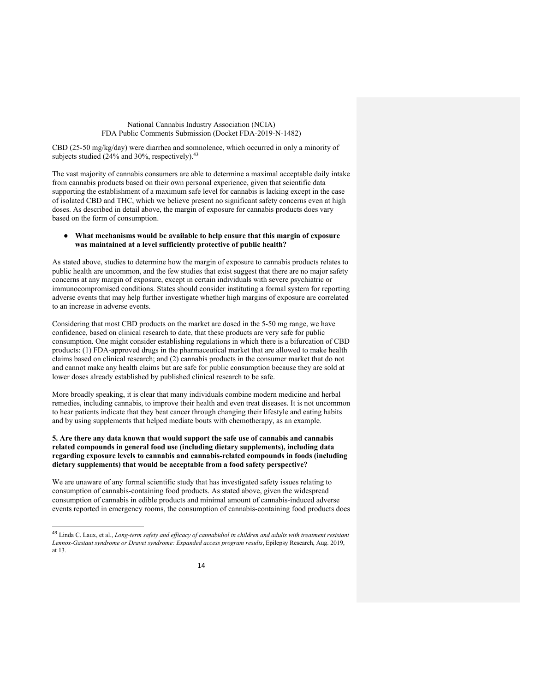CBD (25-50 mg/kg/day) were diarrhea and somnolence, which occurred in only a minority of subjects studied (24% and 30%, respectively).<sup>43</sup>

The vast majority of cannabis consumers are able to determine a maximal acceptable daily intake from cannabis products based on their own personal experience, given that scientific data supporting the establishment of a maximum safe level for cannabis is lacking except in the case of isolated CBD and THC, which we believe present no significant safety concerns even at high doses. As described in detail above, the margin of exposure for cannabis products does vary based on the form of consumption.

## ● **What mechanisms would be available to help ensure that this margin of exposure was maintained at a level sufficiently protective of public health?**

As stated above, studies to determine how the margin of exposure to cannabis products relates to public health are uncommon, and the few studies that exist suggest that there are no major safety concerns at any margin of exposure, except in certain individuals with severe psychiatric or immunocompromised conditions. States should consider instituting a formal system for reporting adverse events that may help further investigate whether high margins of exposure are correlated to an increase in adverse events.

Considering that most CBD products on the market are dosed in the 5-50 mg range, we have confidence, based on clinical research to date, that these products are very safe for public consumption. One might consider establishing regulations in which there is a bifurcation of CBD products: (1) FDA-approved drugs in the pharmaceutical market that are allowed to make health claims based on clinical research; and (2) cannabis products in the consumer market that do not and cannot make any health claims but are safe for public consumption because they are sold at lower doses already established by published clinical research to be safe.

More broadly speaking, it is clear that many individuals combine modern medicine and herbal remedies, including cannabis, to improve their health and even treat diseases. It is not uncommon to hear patients indicate that they beat cancer through changing their lifestyle and eating habits and by using supplements that helped mediate bouts with chemotherapy, as an example.

## **5. Are there any data known that would support the safe use of cannabis and cannabis related compounds in general food use (including dietary supplements), including data regarding exposure levels to cannabis and cannabis-related compounds in foods (including dietary supplements) that would be acceptable from a food safety perspective?**

We are unaware of any formal scientific study that has investigated safety issues relating to consumption of cannabis-containing food products. As stated above, given the widespread consumption of cannabis in edible products and minimal amount of cannabis-induced adverse events reported in emergency rooms, the consumption of cannabis-containing food products does

 <sup>43</sup> Linda C. Laux, et al., *Long-term safety and efficacy of cannabidiol in children and adults with treatment resistant Lennox-Gastaut syndrome or Dravet syndrome: Expanded access program results*, Epilepsy Research, Aug. 2019, at 13.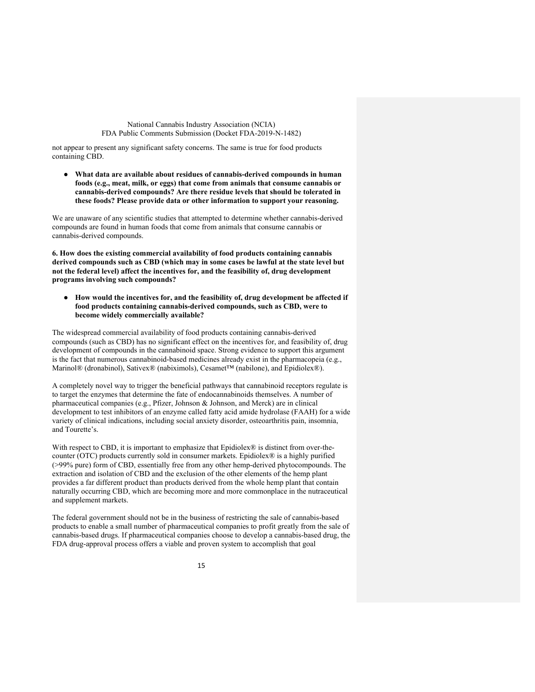not appear to present any significant safety concerns. The same is true for food products containing CBD.

● **What data are available about residues of cannabis-derived compounds in human foods (e.g., meat, milk, or eggs) that come from animals that consume cannabis or cannabis-derived compounds? Are there residue levels that should be tolerated in these foods? Please provide data or other information to support your reasoning.**

We are unaware of any scientific studies that attempted to determine whether cannabis-derived compounds are found in human foods that come from animals that consume cannabis or cannabis-derived compounds.

**6. How does the existing commercial availability of food products containing cannabis derived compounds such as CBD (which may in some cases be lawful at the state level but not the federal level) affect the incentives for, and the feasibility of, drug development programs involving such compounds?**

● **How would the incentives for, and the feasibility of, drug development be affected if food products containing cannabis-derived compounds, such as CBD, were to become widely commercially available?** 

The widespread commercial availability of food products containing cannabis-derived compounds (such as CBD) has no significant effect on the incentives for, and feasibility of, drug development of compounds in the cannabinoid space. Strong evidence to support this argument is the fact that numerous cannabinoid-based medicines already exist in the pharmacopeia (e.g., Marinol® (dronabinol), Sativex® (nabiximols), Cesamet™ (nabilone), and Epidiolex®).

A completely novel way to trigger the beneficial pathways that cannabinoid receptors regulate is to target the enzymes that determine the fate of endocannabinoids themselves. A number of pharmaceutical companies (e.g., Pfizer, Johnson & Johnson, and Merck) are in clinical development to test inhibitors of an enzyme called fatty acid amide hydrolase (FAAH) for a wide variety of clinical indications, including social anxiety disorder, osteoarthritis pain, insomnia, and Tourette's.

With respect to CBD, it is important to emphasize that Epidiolex® is distinct from over-thecounter (OTC) products currently sold in consumer markets. Epidiolex® is a highly purified (>99% pure) form of CBD, essentially free from any other hemp-derived phytocompounds. The extraction and isolation of CBD and the exclusion of the other elements of the hemp plant provides a far different product than products derived from the whole hemp plant that contain naturally occurring CBD, which are becoming more and more commonplace in the nutraceutical and supplement markets.

The federal government should not be in the business of restricting the sale of cannabis-based products to enable a small number of pharmaceutical companies to profit greatly from the sale of cannabis-based drugs. If pharmaceutical companies choose to develop a cannabis-based drug, the FDA drug-approval process offers a viable and proven system to accomplish that goal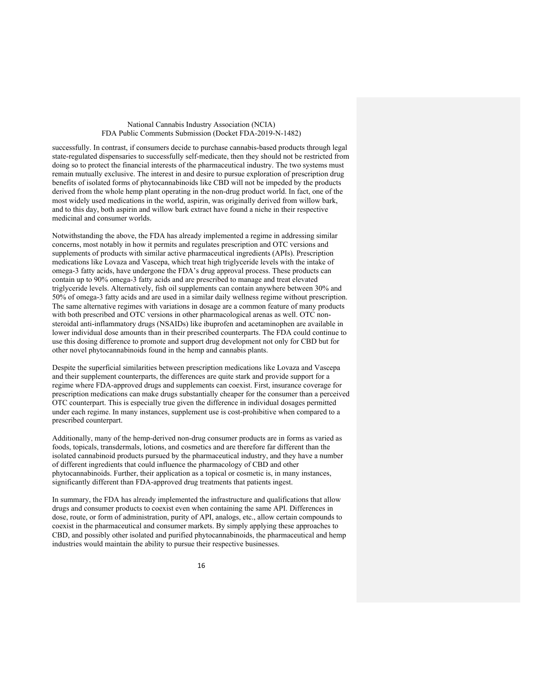successfully. In contrast, if consumers decide to purchase cannabis-based products through legal state-regulated dispensaries to successfully self-medicate, then they should not be restricted from doing so to protect the financial interests of the pharmaceutical industry. The two systems must remain mutually exclusive. The interest in and desire to pursue exploration of prescription drug benefits of isolated forms of phytocannabinoids like CBD will not be impeded by the products derived from the whole hemp plant operating in the non-drug product world. In fact, one of the most widely used medications in the world, aspirin, was originally derived from willow bark, and to this day, both aspirin and willow bark extract have found a niche in their respective medicinal and consumer worlds.

Notwithstanding the above, the FDA has already implemented a regime in addressing similar concerns, most notably in how it permits and regulates prescription and OTC versions and supplements of products with similar active pharmaceutical ingredients (APIs). Prescription medications like Lovaza and Vascepa, which treat high triglyceride levels with the intake of omega-3 fatty acids, have undergone the FDA's drug approval process. These products can contain up to 90% omega-3 fatty acids and are prescribed to manage and treat elevated triglyceride levels. Alternatively, fish oil supplements can contain anywhere between 30% and 50% of omega-3 fatty acids and are used in a similar daily wellness regime without prescription. The same alternative regimes with variations in dosage are a common feature of many products with both prescribed and OTC versions in other pharmacological arenas as well. OTC nonsteroidal anti-inflammatory drugs (NSAIDs) like ibuprofen and acetaminophen are available in lower individual dose amounts than in their prescribed counterparts. The FDA could continue to use this dosing difference to promote and support drug development not only for CBD but for other novel phytocannabinoids found in the hemp and cannabis plants.

Despite the superficial similarities between prescription medications like Lovaza and Vascepa and their supplement counterparts, the differences are quite stark and provide support for a regime where FDA-approved drugs and supplements can coexist. First, insurance coverage for prescription medications can make drugs substantially cheaper for the consumer than a perceived OTC counterpart. This is especially true given the difference in individual dosages permitted under each regime. In many instances, supplement use is cost-prohibitive when compared to a prescribed counterpart.

Additionally, many of the hemp-derived non-drug consumer products are in forms as varied as foods, topicals, transdermals, lotions, and cosmetics and are therefore far different than the isolated cannabinoid products pursued by the pharmaceutical industry, and they have a number of different ingredients that could influence the pharmacology of CBD and other phytocannabinoids. Further, their application as a topical or cosmetic is, in many instances, significantly different than FDA-approved drug treatments that patients ingest.

In summary, the FDA has already implemented the infrastructure and qualifications that allow drugs and consumer products to coexist even when containing the same API. Differences in dose, route, or form of administration, purity of API, analogs, etc., allow certain compounds to coexist in the pharmaceutical and consumer markets. By simply applying these approaches to CBD, and possibly other isolated and purified phytocannabinoids, the pharmaceutical and hemp industries would maintain the ability to pursue their respective businesses.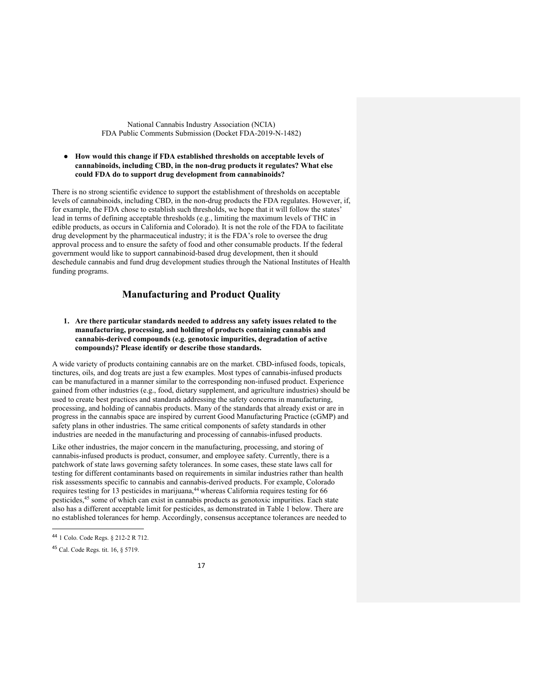### ● **How would this change if FDA established thresholds on acceptable levels of cannabinoids, including CBD, in the non-drug products it regulates? What else could FDA do to support drug development from cannabinoids?**

There is no strong scientific evidence to support the establishment of thresholds on acceptable levels of cannabinoids, including CBD, in the non-drug products the FDA regulates. However, if, for example, the FDA chose to establish such thresholds, we hope that it will follow the states' lead in terms of defining acceptable thresholds (e.g., limiting the maximum levels of THC in edible products, as occurs in California and Colorado). It is not the role of the FDA to facilitate drug development by the pharmaceutical industry; it is the FDA's role to oversee the drug approval process and to ensure the safety of food and other consumable products. If the federal government would like to support cannabinoid-based drug development, then it should deschedule cannabis and fund drug development studies through the National Institutes of Health funding programs.

# **Manufacturing and Product Quality**

## **1. Are there particular standards needed to address any safety issues related to the manufacturing, processing, and holding of products containing cannabis and cannabis-derived compounds (e.g. genotoxic impurities, degradation of active compounds)? Please identify or describe those standards.**

A wide variety of products containing cannabis are on the market. CBD-infused foods, topicals, tinctures, oils, and dog treats are just a few examples. Most types of cannabis-infused products can be manufactured in a manner similar to the corresponding non-infused product. Experience gained from other industries (e.g., food, dietary supplement, and agriculture industries) should be used to create best practices and standards addressing the safety concerns in manufacturing, processing, and holding of cannabis products. Many of the standards that already exist or are in progress in the cannabis space are inspired by current Good Manufacturing Practice (cGMP) and safety plans in other industries. The same critical components of safety standards in other industries are needed in the manufacturing and processing of cannabis-infused products.

Like other industries, the major concern in the manufacturing, processing, and storing of cannabis-infused products is product, consumer, and employee safety. Currently, there is a patchwork of state laws governing safety tolerances. In some cases, these state laws call for testing for different contaminants based on requirements in similar industries rather than health risk assessments specific to cannabis and cannabis-derived products. For example, Colorado requires testing for 13 pesticides in marijuana,<sup>44</sup> whereas California requires testing for 66 pesticides,<sup>45</sup> some of which can exist in cannabis products as genotoxic impurities. Each state also has a different acceptable limit for pesticides, as demonstrated in Table 1 below. There are no established tolerances for hemp. Accordingly, consensus acceptance tolerances are needed to

 <sup>44</sup> 1 Colo. Code Regs. § 212-2 R 712.

<sup>45</sup> Cal. Code Regs. tit. 16, § 5719.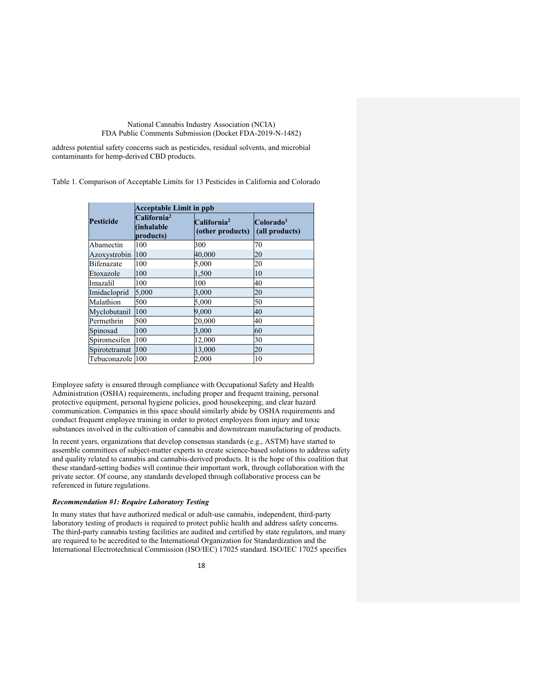address potential safety concerns such as pesticides, residual solvents, and microbial contaminants for hemp-derived CBD products.

Table 1. Comparison of Acceptable Limits for 13 Pesticides in California and Colorado

|                   | <b>Acceptable Limit in ppb</b>                     |                                             |                                         |
|-------------------|----------------------------------------------------|---------------------------------------------|-----------------------------------------|
| Pesticide         | California <sup>2</sup><br>(inhalable<br>products) | California <sup>2</sup><br>(other products) | Colorado <sup>1</sup><br>(all products) |
| Abamectin         | 100                                                | 300                                         | 70                                      |
| Azoxystrobin      | 100                                                | 40,000                                      | 20                                      |
| <b>Bifenazate</b> | 100                                                | 5,000                                       | 20                                      |
| Etoxazole         | 100                                                | 1,500                                       | 10                                      |
| Imazalil          | 100                                                | 100                                         | 40                                      |
| Imidacloprid      | 5,000                                              | 3,000                                       | 20                                      |
| Malathion         | 500                                                | 5,000                                       | 50                                      |
| Myclobutanil      | 100                                                | 9,000                                       | 40                                      |
| Permethrin        | 500                                                | 20,000                                      | 40                                      |
| Spinosad          | 100                                                | 3,000                                       | 60                                      |
| Spiromesifen      | 100                                                | 12,000                                      | 30                                      |
| Spirotetramat     | 100                                                | 13,000                                      | 20                                      |
| Tebuconazole 100  |                                                    | 2.000                                       | 10                                      |

Employee safety is ensured through compliance with Occupational Safety and Health Administration (OSHA) requirements, including proper and frequent training, personal protective equipment, personal hygiene policies, good housekeeping, and clear hazard communication. Companies in this space should similarly abide by OSHA requirements and conduct frequent employee training in order to protect employees from injury and toxic substances involved in the cultivation of cannabis and downstream manufacturing of products.

In recent years, organizations that develop consensus standards (e.g., ASTM) have started to assemble committees of subject-matter experts to create science-based solutions to address safety and quality related to cannabis and cannabis-derived products. It is the hope of this coalition that these standard-setting bodies will continue their important work, through collaboration with the private sector. Of course, any standards developed through collaborative process can be referenced in future regulations.

#### *Recommendation #1: Require Laboratory Testing*

In many states that have authorized medical or adult-use cannabis, independent, third-party laboratory testing of products is required to protect public health and address safety concerns. The third-party cannabis testing facilities are audited and certified by state regulators, and many are required to be accredited to the International Organization for Standardization and the International Electrotechnical Commission (ISO/IEC) 17025 standard. ISO/IEC 17025 specifies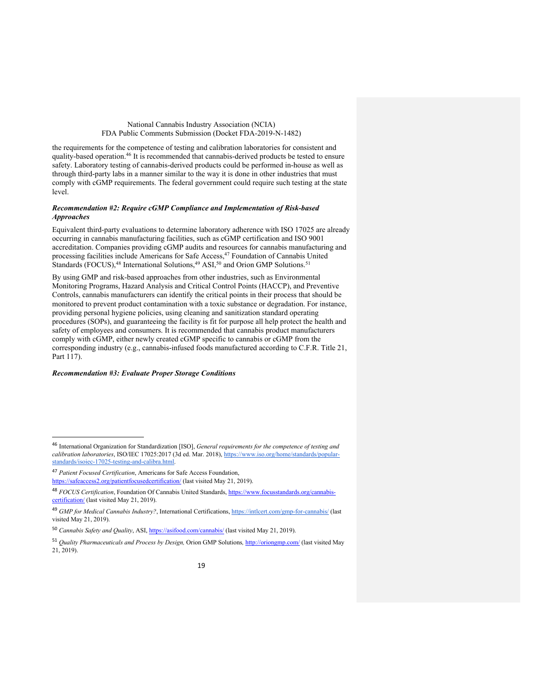the requirements for the competence of testing and calibration laboratories for consistent and quality-based operation.46 It is recommended that cannabis-derived products be tested to ensure safety. Laboratory testing of cannabis-derived products could be performed in-house as well as through third-party labs in a manner similar to the way it is done in other industries that must comply with cGMP requirements. The federal government could require such testing at the state level.

## *Recommendation #2: Require cGMP Compliance and Implementation of Risk-based Approaches*

Equivalent third-party evaluations to determine laboratory adherence with ISO 17025 are already occurring in cannabis manufacturing facilities, such as cGMP certification and ISO 9001 accreditation. Companies providing cGMP audits and resources for cannabis manufacturing and processing facilities include Americans for Safe Access,<sup>47</sup> Foundation of Cannabis United Standards (FOCUS),<sup>48</sup> International Solutions,<sup>49</sup> ASI,<sup>50</sup> and Orion GMP Solutions.<sup>51</sup>

By using GMP and risk-based approaches from other industries, such as Environmental Monitoring Programs, Hazard Analysis and Critical Control Points (HACCP), and Preventive Controls, cannabis manufacturers can identify the critical points in their process that should be monitored to prevent product contamination with a toxic substance or degradation. For instance, providing personal hygiene policies, using cleaning and sanitization standard operating procedures (SOPs), and guaranteeing the facility is fit for purpose all help protect the health and safety of employees and consumers. It is recommended that cannabis product manufacturers comply with cGMP, either newly created cGMP specific to cannabis or cGMP from the corresponding industry (e.g., cannabis-infused foods manufactured according to C.F.R. Title 21, Part 117).

#### *Recommendation #3: Evaluate Proper Storage Conditions*

 <sup>46</sup> International Organization for Standardization [ISO], *General requirements for the competence of testing and calibration laboratories*, ISO/IEC 17025:2017 (3d ed. Mar. 2018), https://www.iso.org/home/standards/popularstandards/isoiec-17025-testing-and-calibra.html.

<sup>47</sup> *Patient Focused Certification*, Americans for Safe Access Foundation, https://safeaccess2.org/patientfocusedcertification/ (last visited May 21, 2019).

<sup>48</sup> *FOCUS Certification*, Foundation Of Cannabis United Standards, https://www.focusstandards.org/cannabiscertification/ (last visited May 21, 2019).

<sup>&</sup>lt;sup>49</sup> *GMP for Medical Cannabis Industry?*, International Certifications, https://intlcert.com/gmp-for-cannabis/ (last visited May 21, 2019).

<sup>50</sup> *Cannabis Safety and Quality*, ASI, https://asifood.com/cannabis/ (last visited May 21, 2019).

<sup>51</sup> *Quality Pharmaceuticals and Process by Design,* Orion GMP Solutions*,* http://oriongmp.com/ (last visited May 21, 2019).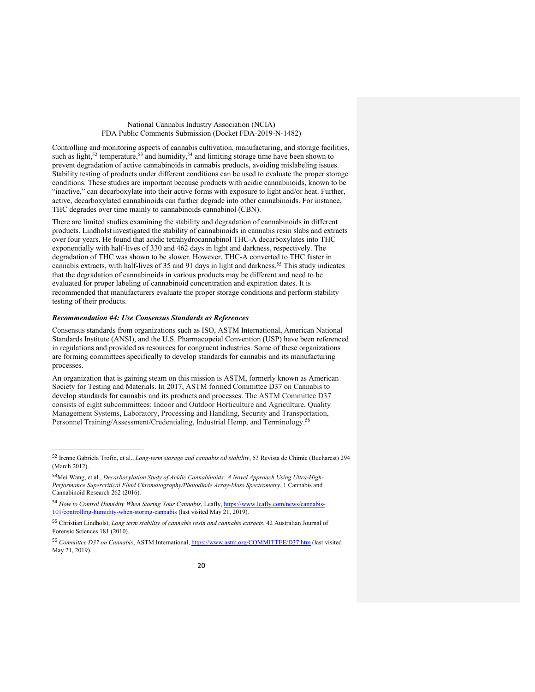Controlling and monitoring aspects of cannabis cultivation, manufacturing, and storage facilities, such as light,<sup>52</sup> temperature,<sup>53</sup> and humidity,<sup>54</sup> and limiting storage time have been shown to prevent degradation of active cannabinoids in cannabis products, avoiding mislabeling issues. Stability testing of products under different conditions can be used to evaluate the proper storage conditions. These studies are important because products with acidic cannabinoids, known to be "inactive," can decarboxylate into their active forms with exposure to light and/or heat. Further, active, decarboxylated cannabinoids can further degrade into other cannabinoids. For instance, THC degrades over time mainly to cannabinoids cannabinol (CBN).

There are limited studies examining the stability and degradation of cannabinoids in different products. Lindholst investigated the stability of cannabinoids in cannabis resin slabs and extracts over four years. He found that acidic tetrahydrocannabinol THC-A decarboxylates into THC exponentially with half-lives of 330 and 462 days in light and darkness, respectively. The degradation of THC was shown to be slower. However, THC-A converted to THC faster in cannabis extracts, with half-lives of 35 and 91 days in light and darkness.55 This study indicates that the degradation of cannabinoids in various products may be different and need to be evaluated for proper labeling of cannabinoid concentration and expiration dates. It is recommended that manufacturers evaluate the proper storage conditions and perform stability testing of their products.

#### *Recommendation #4: Use Consensus Standards as References*

Consensus standards from organizations such as ISO, ASTM International, American National Standards Institute (ANSI), and the U.S. Pharmacopeial Convention (USP) have been referenced in regulations and provided as resources for congruent industries. Some of these organizations are forming committees specifically to develop standards for cannabis and its manufacturing processes.

An organization that is gaining steam on this mission is ASTM, formerly known as American Society for Testing and Materials. In 2017, ASTM formed Committee D37 on Cannabis to develop standards for cannabis and its products and processes. The ASTM Committee D37 consists of eight subcommittees: Indoor and Outdoor Horticulture and Agriculture, Quality Management Systems, Laboratory, Processing and Handling, Security and Transportation, Personnel Training/Assessment/Credentialing, Industrial Hemp, and Terminology.<sup>56</sup>

 <sup>52</sup> Irenne Gabriela Trofin, et al., *Long-term storage and cannabis oil stability*, 53 Revista de Chimie (Bucharest) <sup>294</sup> (March 2012).

<sup>53</sup>Mei Wang, et al., *Decarboxylation Study of Acidic Cannabinoids: A Novel Approach Using Ultra-High-Performance Supercritical Fluid Chromatography/Photodiode Array-Mass Spectrometry*, 1 Cannabis and Cannabinoid Research 262 (2016).

<sup>54</sup> *How to Control Humidity When Storing Your Cannabis*, Leafly, https://www.leafly.com/news/cannabis-101/controlling-humidity-when-storing-cannabis (last visited May 21, 2019).

<sup>55</sup> Christian Lindholst, *Long term stability of cannabis resin and cannabis extracts*, 42 Australian Journal of Forensic Sciences 181 (2010).

<sup>56</sup> *Committee D37 on Cannabis*, ASTM International, https://www.astm.org/COMMITTEE/D37.htm (last visited May 21, 2019).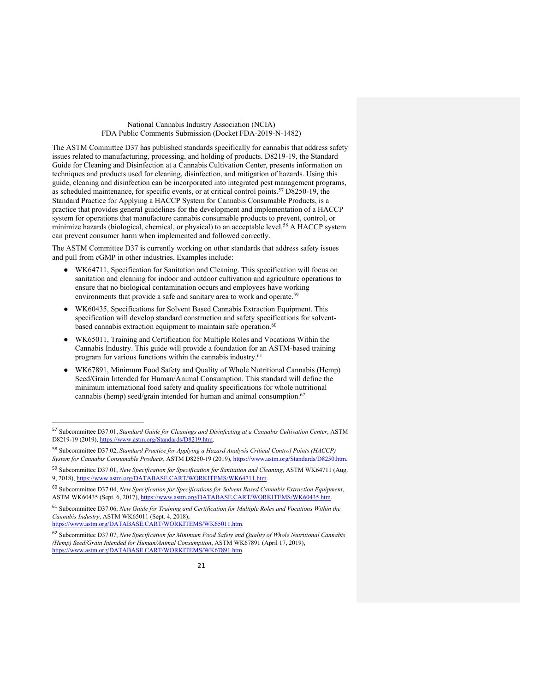The ASTM Committee D37 has published standards specifically for cannabis that address safety issues related to manufacturing, processing, and holding of products. D8219-19, the Standard Guide for Cleaning and Disinfection at a Cannabis Cultivation Center, presents information on techniques and products used for cleaning, disinfection, and mitigation of hazards. Using this guide, cleaning and disinfection can be incorporated into integrated pest management programs, as scheduled maintenance, for specific events, or at critical control points.<sup>57</sup> D8250-19, the Standard Practice for Applying a HACCP System for Cannabis Consumable Products, is a practice that provides general guidelines for the development and implementation of a HACCP system for operations that manufacture cannabis consumable products to prevent, control, or minimize hazards (biological, chemical, or physical) to an acceptable level.<sup>58</sup> A HACCP system can prevent consumer harm when implemented and followed correctly.

The ASTM Committee D37 is currently working on other standards that address safety issues and pull from cGMP in other industries. Examples include:

- WK64711, Specification for Sanitation and Cleaning. This specification will focus on sanitation and cleaning for indoor and outdoor cultivation and agriculture operations to ensure that no biological contamination occurs and employees have working environments that provide a safe and sanitary area to work and operate.<sup>59</sup>
- WK60435, Specifications for Solvent Based Cannabis Extraction Equipment. This specification will develop standard construction and safety specifications for solventbased cannabis extraction equipment to maintain safe operation.<sup>60</sup>
- WK65011, Training and Certification for Multiple Roles and Vocations Within the Cannabis Industry. This guide will provide a foundation for an ASTM-based training program for various functions within the cannabis industry.<sup>61</sup>
- WK67891, Minimum Food Safety and Quality of Whole Nutritional Cannabis (Hemp) Seed/Grain Intended for Human/Animal Consumption. This standard will define the minimum international food safety and quality specifications for whole nutritional cannabis (hemp) seed/grain intended for human and animal consumption. $62$

https://www.astm.org/DATABASE.CART/WORKITEMS/WK65011.htm.

 <sup>57</sup> Subcommittee D37.01, *Standard Guide for Cleanings and Disinfecting at a Cannabis Cultivation Center*, ASTM D8219-19 (2019), https://www.astm.org/Standards/D8219.htm.

<sup>58</sup> Subcommittee D37.02, *Standard Practice for Applying a Hazard Analysis Critical Control Points (HACCP) System for Cannabis Consumable Products*, ASTM D8250-19 (2019), https://www.astm.org/Standards/D8250.htm.

<sup>59</sup> Subcommittee D37.01, *New Specification for Specification for Sanitation and Cleaning*, ASTM WK64711 (Aug. 9, 2018), https://www.astm.org/DATABASE.CART/WORKITEMS/WK64711.htm.

<sup>60</sup> Subcommittee D37.04, *New Specification for Specifications for Solvent Based Cannabis Extraction Equipment*, ASTM WK60435 (Sept. 6, 2017), https://www.astm.org/DATABASE.CART/WORKITEMS/WK60435.htm

<sup>61</sup> Subcommittee D37.06, *New Guide for Training and Certification for Multiple Roles and Vocations Within the Cannabis Industry*, ASTM WK65011 (Sept. 4, 2018),

<sup>62</sup> Subcommittee D37.07, *New Specification for Minimum Food Safety and Quality of Whole Nutritional Cannabis (Hemp) Seed/Grain Intended for Human/Animal Consumption*, ASTM WK67891 (April 17, 2019), https://www.astm.org/DATABASE.CART/WORKITEMS/WK67891.htm.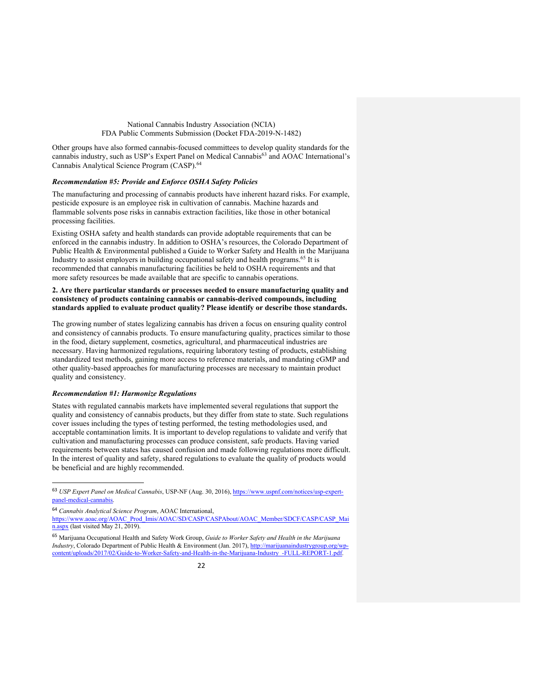Other groups have also formed cannabis-focused committees to develop quality standards for the cannabis industry, such as USP's Expert Panel on Medical Cannabis<sup>63</sup> and AOAC International's Cannabis Analytical Science Program (CASP).64

## *Recommendation #5: Provide and Enforce OSHA Safety Policies*

The manufacturing and processing of cannabis products have inherent hazard risks. For example, pesticide exposure is an employee risk in cultivation of cannabis. Machine hazards and flammable solvents pose risks in cannabis extraction facilities, like those in other botanical processing facilities.

Existing OSHA safety and health standards can provide adoptable requirements that can be enforced in the cannabis industry. In addition to OSHA's resources, the Colorado Department of Public Health & Environmental published a Guide to Worker Safety and Health in the Marijuana Industry to assist employers in building occupational safety and health programs.65 It is recommended that cannabis manufacturing facilities be held to OSHA requirements and that more safety resources be made available that are specific to cannabis operations.

## **2. Are there particular standards or processes needed to ensure manufacturing quality and consistency of products containing cannabis or cannabis-derived compounds, including standards applied to evaluate product quality? Please identify or describe those standards.**

The growing number of states legalizing cannabis has driven a focus on ensuring quality control and consistency of cannabis products. To ensure manufacturing quality, practices similar to those in the food, dietary supplement, cosmetics, agricultural, and pharmaceutical industries are necessary. Having harmonized regulations, requiring laboratory testing of products, establishing standardized test methods, gaining more access to reference materials, and mandating cGMP and other quality-based approaches for manufacturing processes are necessary to maintain product quality and consistency.

#### *Recommendation #1: Harmonize Regulations*

States with regulated cannabis markets have implemented several regulations that support the quality and consistency of cannabis products, but they differ from state to state. Such regulations cover issues including the types of testing performed, the testing methodologies used, and acceptable contamination limits. It is important to develop regulations to validate and verify that cultivation and manufacturing processes can produce consistent, safe products. Having varied requirements between states has caused confusion and made following regulations more difficult. In the interest of quality and safety, shared regulations to evaluate the quality of products would be beneficial and are highly recommended.

 <sup>63</sup> *USP Expert Panel on Medical Cannabis*, USP-NF (Aug. 30, 2016), https://www.uspnf.com/notices/usp-expertpanel-medical-cannabis.

<sup>64</sup> *Cannabis Analytical Science Program*, AOAC International,

https://www.aoac.org/AOAC\_Prod\_Imis/AOAC/SD/CASP/CASPAbout/AOAC\_Member/SDCF/CASP/CASP\_Mai n.aspx (last visited May 21, 2019).

<sup>65</sup> Marijuana Occupational Health and Safety Work Group, *Guide to Worker Safety and Health in the Marijuana Industry*, Colorado Department of Public Health & Environment (Jan. 2017), http://marijuanaindustrygroup.org/wpcontent/uploads/2017/02/Guide-to-Worker-Safety-and-Health-in-the-Marijuana-Industry\_-FULL-REPORT-1.pdf.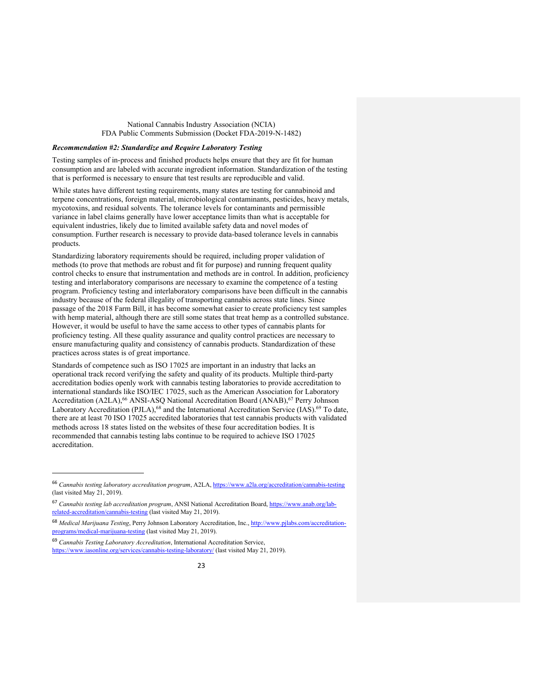#### *Recommendation #2: Standardize and Require Laboratory Testing*

Testing samples of in-process and finished products helps ensure that they are fit for human consumption and are labeled with accurate ingredient information. Standardization of the testing that is performed is necessary to ensure that test results are reproducible and valid.

While states have different testing requirements, many states are testing for cannabinoid and terpene concentrations, foreign material, microbiological contaminants, pesticides, heavy metals, mycotoxins, and residual solvents. The tolerance levels for contaminants and permissible variance in label claims generally have lower acceptance limits than what is acceptable for equivalent industries, likely due to limited available safety data and novel modes of consumption. Further research is necessary to provide data-based tolerance levels in cannabis products.

Standardizing laboratory requirements should be required, including proper validation of methods (to prove that methods are robust and fit for purpose) and running frequent quality control checks to ensure that instrumentation and methods are in control. In addition, proficiency testing and interlaboratory comparisons are necessary to examine the competence of a testing program. Proficiency testing and interlaboratory comparisons have been difficult in the cannabis industry because of the federal illegality of transporting cannabis across state lines. Since passage of the 2018 Farm Bill, it has become somewhat easier to create proficiency test samples with hemp material, although there are still some states that treat hemp as a controlled substance. However, it would be useful to have the same access to other types of cannabis plants for proficiency testing. All these quality assurance and quality control practices are necessary to ensure manufacturing quality and consistency of cannabis products. Standardization of these practices across states is of great importance.

Standards of competence such as ISO 17025 are important in an industry that lacks an operational track record verifying the safety and quality of its products. Multiple third-party accreditation bodies openly work with cannabis testing laboratories to provide accreditation to international standards like ISO/IEC 17025, such as the American Association for Laboratory Accreditation (A2LA),<sup>66</sup> ANSI-ASQ National Accreditation Board (ANAB),<sup>67</sup> Perry Johnson Laboratory Accreditation (PJLA),<sup>68</sup> and the International Accreditation Service (IAS).<sup>69</sup> To date, there are at least 70 ISO 17025 accredited laboratories that test cannabis products with validated methods across 18 states listed on the websites of these four accreditation bodies. It is recommended that cannabis testing labs continue to be required to achieve ISO 17025 accreditation.

j

<sup>66</sup> *Cannabis testing laboratory accreditation program*, A2LA, https://www.a2la.org/accreditation/cannabis-testing (last visited May 21, 2019).

<sup>67</sup> *Cannabis testing lab accreditation program*, ANSI National Accreditation Board, https://www.anab.org/labrelated-accreditation/cannabis-testing (last visited May 21, 2019).

<sup>68</sup> *Medical Marijuana Testing*, Perry Johnson Laboratory Accreditation, Inc., http://www.pjlabs.com/accreditationprograms/medical-marijuana-testing (last visited May 21, 2019).

<sup>69</sup> *Cannabis Testing Laboratory Accreditation*, International Accreditation Service, https://www.iasonline.org/services/cannabis-testing-laboratory/ (last visited May 21, 2019).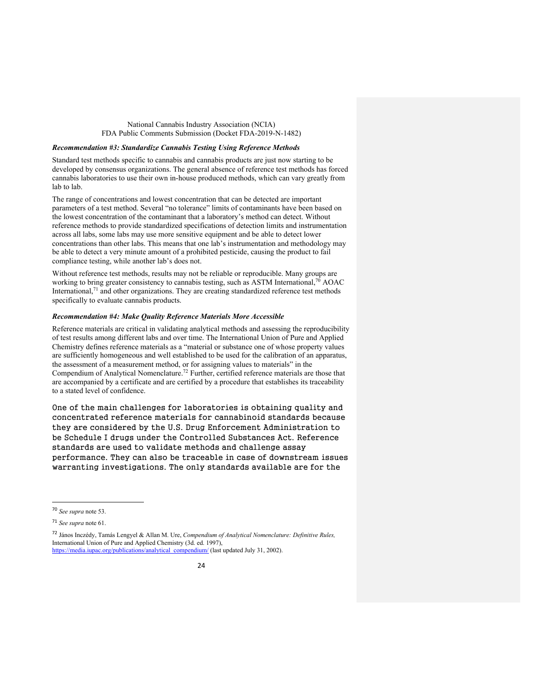### *Recommendation #3: Standardize Cannabis Testing Using Reference Methods*

Standard test methods specific to cannabis and cannabis products are just now starting to be developed by consensus organizations. The general absence of reference test methods has forced cannabis laboratories to use their own in-house produced methods, which can vary greatly from lab to lab.

The range of concentrations and lowest concentration that can be detected are important parameters of a test method. Several "no tolerance" limits of contaminants have been based on the lowest concentration of the contaminant that a laboratory's method can detect. Without reference methods to provide standardized specifications of detection limits and instrumentation across all labs, some labs may use more sensitive equipment and be able to detect lower concentrations than other labs. This means that one lab's instrumentation and methodology may be able to detect a very minute amount of a prohibited pesticide, causing the product to fail compliance testing, while another lab's does not.

Without reference test methods, results may not be reliable or reproducible. Many groups are working to bring greater consistency to cannabis testing, such as ASTM International,<sup>70</sup> AOAC International, $71$  and other organizations. They are creating standardized reference test methods specifically to evaluate cannabis products.

## *Recommendation #4: Make Quality Reference Materials More Accessible*

Reference materials are critical in validating analytical methods and assessing the reproducibility of test results among different labs and over time. The International Union of Pure and Applied Chemistry defines reference materials as a "material or substance one of whose property values are sufficiently homogeneous and well established to be used for the calibration of an apparatus, the assessment of a measurement method, or for assigning values to materials" in the Compendium of Analytical Nomenclature.72 Further, certified reference materials are those that are accompanied by a certificate and are certified by a procedure that establishes its traceability to a stated level of confidence.

One of the main challenges for laboratories is obtaining quality and concentrated reference materials for cannabinoid standards because they are considered by the U.S. Drug Enforcement Administration to be Schedule I drugs under the Controlled Substances Act. Reference standards are used to validate methods and challenge assay performance. They can also be traceable in case of downstream issues warranting investigations. The only standards available are for the

 <sup>70</sup> *See supra* note 53.

<sup>71</sup> *See supra* note 61.

<sup>72</sup> János Inczédy, Tamás Lengyel & Allan M. Ure, *Compendium of Analytical Nomenclature: Definitive Rules,* International Union of Pure and Applied Chemistry (3d. ed. 1997), https://media.iupac.org/publications/analytical\_compendium/ (last updated July 31, 2002).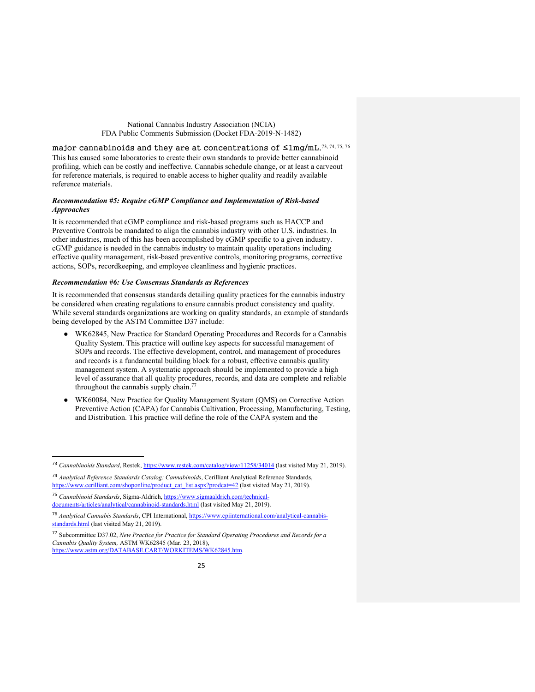major cannabinoids and they are at concentrations of ≤1mg/mL.<sup>73, 74, 75, 76</sup> This has caused some laboratories to create their own standards to provide better cannabinoid profiling, which can be costly and ineffective. Cannabis schedule change, or at least a carveout for reference materials, is required to enable access to higher quality and readily available reference materials.

## *Recommendation #5: Require cGMP Compliance and Implementation of Risk-based Approaches*

It is recommended that cGMP compliance and risk-based programs such as HACCP and Preventive Controls be mandated to align the cannabis industry with other U.S. industries. In other industries, much of this has been accomplished by cGMP specific to a given industry. cGMP guidance is needed in the cannabis industry to maintain quality operations including effective quality management, risk-based preventive controls, monitoring programs, corrective actions, SOPs, recordkeeping, and employee cleanliness and hygienic practices.

## *Recommendation #6: Use Consensus Standards as References*

It is recommended that consensus standards detailing quality practices for the cannabis industry be considered when creating regulations to ensure cannabis product consistency and quality. While several standards organizations are working on quality standards, an example of standards being developed by the ASTM Committee D37 include:

- WK62845, New Practice for Standard Operating Procedures and Records for a Cannabis Quality System. This practice will outline key aspects for successful management of SOPs and records. The effective development, control, and management of procedures and records is a fundamental building block for a robust, effective cannabis quality management system. A systematic approach should be implemented to provide a high level of assurance that all quality procedures, records, and data are complete and reliable throughout the cannabis supply chain.<sup>77</sup>
- WK60084, New Practice for Quality Management System (QMS) on Corrective Action Preventive Action (CAPA) for Cannabis Cultivation, Processing, Manufacturing, Testing, and Distribution. This practice will define the role of the CAPA system and the

 <sup>73</sup> *Cannabinoids Standard*, Restek, https://www.restek.com/catalog/view/11258/34014 (last visited May 21, 2019).

<sup>74</sup> *Analytical Reference Standards Catalog: Cannabinoids*, Cerilliant Analytical Reference Standards, https://www.cerilliant.com/shoponline/product\_cat\_list.aspx?prodcat=42 (last visited May 21, 2019).

<sup>75</sup> *Cannabinoid Standards*, Sigma-Aldrich, https://www.sigmaaldrich.com/technicaldocuments/articles/analytical/cannabinoid-standards.html (last visited May 21, 2019).

<sup>76</sup> *Analytical Cannabis Standards*, CPI International, https://www.cpiinternational.com/analytical-cannabisstandards.html (last visited May 21, 2019).

<sup>77</sup> Subcommittee D37.02, *New Practice for Practice for Standard Operating Procedures and Records for a Cannabis Quality System,* ASTM WK62845 (Mar. 23, 2018), https://www.astm.org/DATABASE.CART/WORKITEMS/WK62845.htm.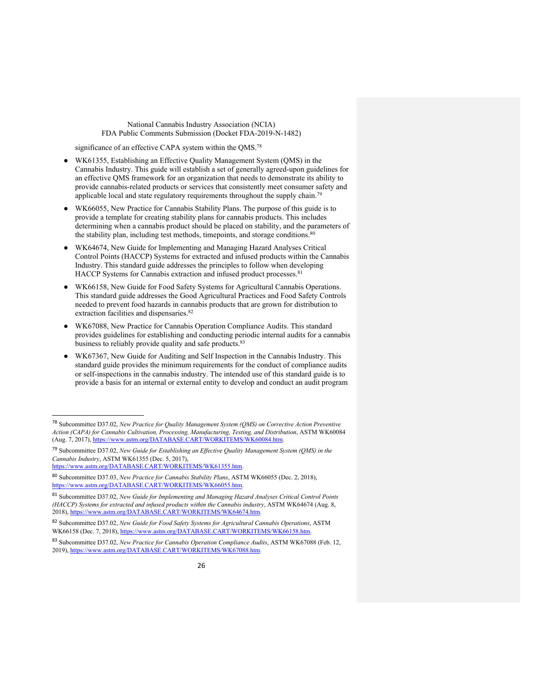significance of an effective CAPA system within the OMS.<sup>78</sup>

- WK61355, Establishing an Effective Quality Management System (QMS) in the Cannabis Industry. This guide will establish a set of generally agreed-upon guidelines for an effective QMS framework for an organization that needs to demonstrate its ability to provide cannabis-related products or services that consistently meet consumer safety and applicable local and state regulatory requirements throughout the supply chain.<sup>79</sup>
- WK66055, New Practice for Cannabis Stability Plans. The purpose of this guide is to provide a template for creating stability plans for cannabis products. This includes determining when a cannabis product should be placed on stability, and the parameters of the stability plan, including test methods, timepoints, and storage conditions.<sup>80</sup>
- WK64674, New Guide for Implementing and Managing Hazard Analyses Critical Control Points (HACCP) Systems for extracted and infused products within the Cannabis Industry. This standard guide addresses the principles to follow when developing HACCP Systems for Cannabis extraction and infused product processes.<sup>81</sup>
- WK66158, New Guide for Food Safety Systems for Agricultural Cannabis Operations. This standard guide addresses the Good Agricultural Practices and Food Safety Controls needed to prevent food hazards in cannabis products that are grown for distribution to extraction facilities and dispensaries.<sup>82</sup>
- WK67088, New Practice for Cannabis Operation Compliance Audits. This standard provides guidelines for establishing and conducting periodic internal audits for a cannabis business to reliably provide quality and safe products.<sup>83</sup>
- WK67367, New Guide for Auditing and Self Inspection in the Cannabis Industry. This standard guide provides the minimum requirements for the conduct of compliance audits or self-inspections in the cannabis industry. The intended use of this standard guide is to provide a basis for an internal or external entity to develop and conduct an audit program

 <sup>78</sup> Subcommittee D37.02, *New Practice for Quality Management System (QMS) on Corrective Action Preventive Action (CAPA) for Cannabis Cultivation, Processing, Manufacturing, Testing, and Distribution*, ASTM WK60084 (Aug. 7, 2017), https://www.astm.org/DATABASE.CART/WORKITEMS/WK60084.htm.

<sup>79</sup> Subcommittee D37.02, *New Guide for Establishing an Effective Quality Management System (QMS) in the Cannabis Industry*, ASTM WK61355 (Dec. 5, 2017),

https://www.astm.org/DATABASE.CART/WORKITEMS/WK61355.htm.

<sup>80</sup> Subcommittee D37.03, *New Practice for Cannabis Stability Plans*, ASTM WK66055 (Dec. 2, 2018), https://www.astm.org/DATABASE.CART/WORKITEMS/WK66055.htm.

<sup>81</sup> Subcommittee D37.02, *New Guide for Implementing and Managing Hazard Analyses Critical Control Points (HACCP) Systems for extracted and infused products within the Cannabis industry*, ASTM WK64674 (Aug. 8, 2018), https://www.astm.org/DATABASE.CART/WORKITEMS/WK64674.htm.

<sup>82</sup> Subcommittee D37.02, *New Guide for Food Safety Systems for Agricultural Cannabis Operations*, ASTM WK66158 (Dec. 7, 2018), https://www.astm.org/DATABASE.CART/WORKITEMS/WK66158.htm.

<sup>83</sup> Subcommittee D37.02, *New Practice for Cannabis Operation Compliance Audits*, ASTM WK67088 (Feb. 12, 2019), https://www.astm.org/DATABASE.CART/WORKITEMS/WK67088.htm.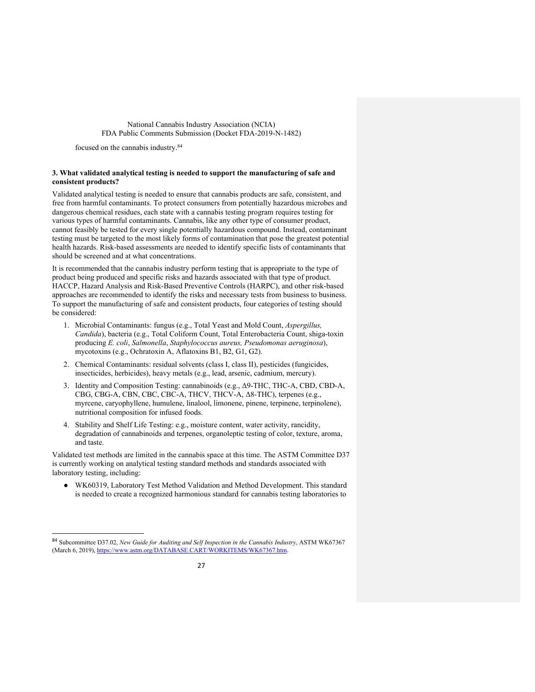focused on the cannabis industry.84

## **3. What validated analytical testing is needed to support the manufacturing of safe and consistent products?**

Validated analytical testing is needed to ensure that cannabis products are safe, consistent, and free from harmful contaminants. To protect consumers from potentially hazardous microbes and dangerous chemical residues, each state with a cannabis testing program requires testing for various types of harmful contaminants. Cannabis, like any other type of consumer product, cannot feasibly be tested for every single potentially hazardous compound. Instead, contaminant testing must be targeted to the most likely forms of contamination that pose the greatest potential health hazards. Risk-based assessments are needed to identify specific lists of contaminants that should be screened and at what concentrations.

It is recommended that the cannabis industry perform testing that is appropriate to the type of product being produced and specific risks and hazards associated with that type of product. HACCP, Hazard Analysis and Risk-Based Preventive Controls (HARPC), and other risk-based approaches are recommended to identify the risks and necessary tests from business to business. To support the manufacturing of safe and consistent products, four categories of testing should be considered:

- 1. Microbial Contaminants: fungus (e.g., Total Yeast and Mold Count, *Aspergillus, Candida*), bacteria (e.g., Total Coliform Count, Total Enterobacteria Count, shiga-toxin producing *E. coli*, *Salmonella*, *Staphylococcus aureus, Pseudomonas aeruginosa*), mycotoxins (e.g., Ochratoxin A, Aflatoxins B1, B2, G1, G2).
- 2. Chemical Contaminants: residual solvents (class I, class II), pesticides (fungicides, insecticides, herbicides), heavy metals (e.g., lead, arsenic, cadmium, mercury).
- 3. Identity and Composition Testing: cannabinoids (e.g., Δ9-THC, THC-A, CBD, CBD-A, CBG, CBG-A, CBN, CBC, CBC-A, THCV, THCV-A, Δ8-THC), terpenes (e.g., myrcene, caryophyllene, humulene, linalool, limonene, pinene, terpinene, terpinolene), nutritional composition for infused foods.
- 4. Stability and Shelf Life Testing: e.g., moisture content, water activity, rancidity, degradation of cannabinoids and terpenes, organoleptic testing of color, texture, aroma, and taste.

Validated test methods are limited in the cannabis space at this time. The ASTM Committee D37 is currently working on analytical testing standard methods and standards associated with laboratory testing, including:

● WK60319, Laboratory Test Method Validation and Method Development. This standard is needed to create a recognized harmonious standard for cannabis testing laboratories to

 <sup>84</sup> Subcommittee D37.02, *New Guide for Auditing and Self Inspection in the Cannabis Industry*, ASTM WK67367 (March 6, 2019), https://www.astm.org/DATABASE.CART/WORKITEMS/WK67367.htm.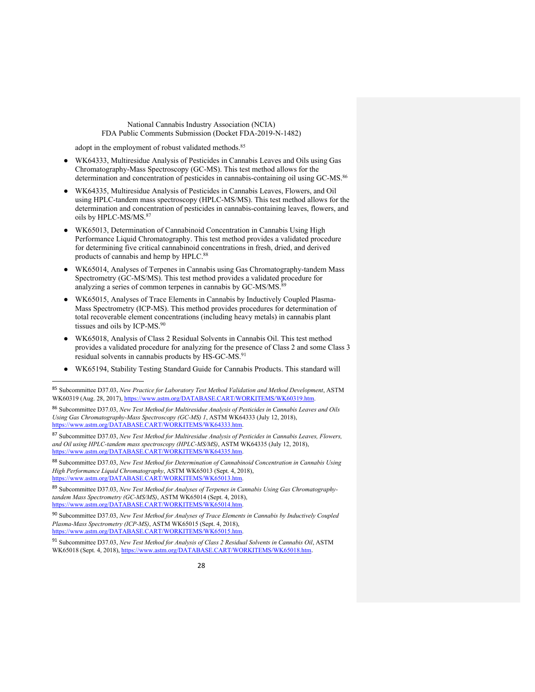adopt in the employment of robust validated methods.<sup>85</sup>

- WK64333, Multiresidue Analysis of Pesticides in Cannabis Leaves and Oils using Gas Chromatography-Mass Spectroscopy (GC-MS). This test method allows for the determination and concentration of pesticides in cannabis-containing oil using GC-MS.<sup>86</sup>
- WK64335, Multiresidue Analysis of Pesticides in Cannabis Leaves, Flowers, and Oil using HPLC-tandem mass spectroscopy (HPLC-MS/MS). This test method allows for the determination and concentration of pesticides in cannabis-containing leaves, flowers, and oils by HPLC-MS/MS.87
- WK65013, Determination of Cannabinoid Concentration in Cannabis Using High Performance Liquid Chromatography. This test method provides a validated procedure for determining five critical cannabinoid concentrations in fresh, dried, and derived products of cannabis and hemp by HPLC.<sup>88</sup>
- WK65014, Analyses of Terpenes in Cannabis using Gas Chromatography-tandem Mass Spectrometry (GC-MS/MS). This test method provides a validated procedure for analyzing a series of common terpenes in cannabis by GC-MS/MS.<sup>89</sup>
- WK65015, Analyses of Trace Elements in Cannabis by Inductively Coupled Plasma-Mass Spectrometry (ICP-MS). This method provides procedures for determination of total recoverable element concentrations (including heavy metals) in cannabis plant tissues and oils by ICP-MS.<sup>90</sup>
- WK65018, Analysis of Class 2 Residual Solvents in Cannabis Oil. This test method provides a validated procedure for analyzing for the presence of Class 2 and some Class 3 residual solvents in cannabis products by HS-GC-MS.<sup>91</sup>
- WK65194, Stability Testing Standard Guide for Cannabis Products. This standard will

<sup>86</sup> Subcommittee D37.03, *New Test Method for Multiresidue Analysis of Pesticides in Cannabis Leaves and Oils Using Gas Chromatography-Mass Spectroscopy (GC-MS) 1*, ASTM WK64333 (July 12, 2018), https://www.astm.org/DATABASE.CART/WORKITEMS/WK64333.htm.

<sup>87</sup> Subcommittee D37.03, *New Test Method for Multiresidue Analysis of Pesticides in Cannabis Leaves, Flowers, and Oil using HPLC-tandem mass spectroscopy (HPLC-MS/MS)*, ASTM WK64335 (July 12, 2018), https://www.astm.org/DATABASE.CART/WORKITEMS/WK64335.htm

<sup>88</sup> Subcommittee D37.03, *New Test Method for Determination of Cannabinoid Concentration in Cannabis Using High Performance Liquid Chromatography*, ASTM WK65013 (Sept. 4, 2018), ://www.astm.org/DATABASE.CART/WORKITEMS/WK65013.

<sup>89</sup> Subcommittee D37.03, *New Test Method for Analyses of Terpenes in Cannabis Using Gas Chromatographytandem Mass Spectrometry (GC-MS/MS)*, ASTM WK65014 (Sept. 4, 2018), https://www.astm.org/DATABASE.CART/WORKITEMS/WK65014.htm.

<sup>90</sup> Subcommittee D37.03, *New Test Method for Analyses of Trace Elements in Cannabis by Inductively Coupled Plasma-Mass Spectrometry (ICP-MS)*, ASTM WK65015 (Sept. 4, 2018), https://www.astm.org/DATABASE.CART/WORKITEMS/WK65015.htm.

<sup>91</sup> Subcommittee D37.03, *New Test Method for Analysis of Class 2 Residual Solvents in Cannabis Oil*, ASTM WK65018 (Sept. 4, 2018), https://www.astm.org/DATABASE.CART/WORKITEMS/WK65018.htm.

 <sup>85</sup> Subcommittee D37.03, *New Practice for Laboratory Test Method Validation and Method Development*, ASTM WK60319 (Aug. 28, 2017), https://www.astm.org/DATABASE.CART/WORKITEMS/WK60319.htm.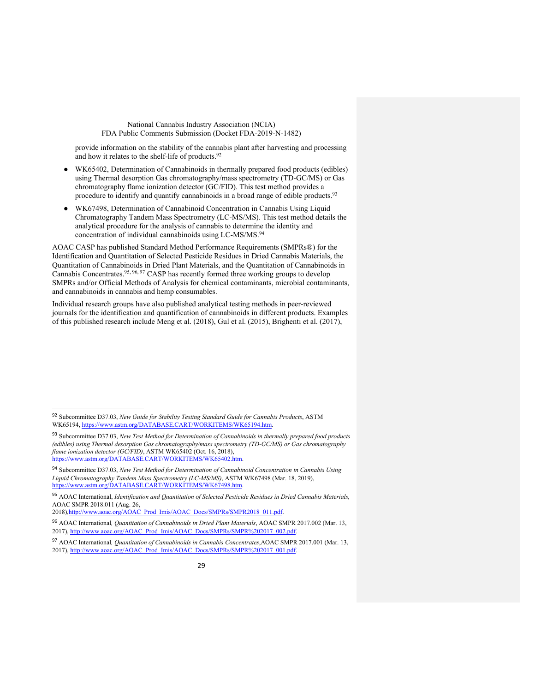provide information on the stability of the cannabis plant after harvesting and processing and how it relates to the shelf-life of products.<sup>92</sup>

- WK65402, Determination of Cannabinoids in thermally prepared food products (edibles) using Thermal desorption Gas chromatography/mass spectrometry (TD-GC/MS) or Gas chromatography flame ionization detector (GC/FID). This test method provides a procedure to identify and quantify cannabinoids in a broad range of edible products.<sup>93</sup>
- WK67498, Determination of Cannabinoid Concentration in Cannabis Using Liquid Chromatography Tandem Mass Spectrometry (LC-MS/MS). This test method details the analytical procedure for the analysis of cannabis to determine the identity and concentration of individual cannabinoids using LC-MS/MS.<sup>94</sup>

AOAC CASP has published Standard Method Performance Requirements (SMPRs®) for the Identification and Quantitation of Selected Pesticide Residues in Dried Cannabis Materials, the Quantitation of Cannabinoids in Dried Plant Materials, and the Quantitation of Cannabinoids in Cannabis Concentrates.95, 96, 97 CASP has recently formed three working groups to develop SMPRs and/or Official Methods of Analysis for chemical contaminants, microbial contaminants, and cannabinoids in cannabis and hemp consumables.

Individual research groups have also published analytical testing methods in peer-reviewed journals for the identification and quantification of cannabinoids in different products. Examples of this published research include Meng et al. (2018), Gul et al. (2015), Brighenti et al. (2017),

 <sup>92</sup> Subcommittee D37.03, *New Guide for Stability Testing Standard Guide for Cannabis Products*, ASTM WK65194, https://www.astm.org/DATABASE.CART/WORKITEMS/WK65194.htm.

<sup>93</sup> Subcommittee D37.03, *New Test Method for Determination of Cannabinoids in thermally prepared food products (edibles) using Thermal desorption Gas chromatography/mass spectrometry (TD-GC/MS) or Gas chromatography flame ionization detector (GC/FID)*, ASTM WK65402 (Oct. 16, 2018), https://www.astm.org/DATABASE.CART/WORKITEMS/WK65402.htm.

<sup>94</sup> Subcommittee D37.03, *New Test Method for Determination of Cannabinoid Concentration in Cannabis Using Liquid Chromatography Tandem Mass Spectrometry (LC-MS/MS)*, ASTM WK67498 (Mar. 18, 2019), https://www.astm.org/DATABASE.CART/WORKITEMS/WK67498.htm.

<sup>95</sup> AOAC International, *Identification and Quantitation of Selected Pesticide Residues in Dried Cannabis Materials,*  AOAC SMPR 2018.011 (Aug. 26,

<sup>2018),</sup>http://www.aoac.org/AOAC\_Prod\_Imis/AOAC\_Docs/SMPRs/SMPR2018\_011.pdf.

<sup>96</sup> AOAC International*, Quantitation of Cannabinoids in Dried Plant Materials*, AOAC SMPR 2017.002 (Mar. 13, 2017), http://www.aoac.org/AOAC\_Prod\_Imis/AOAC\_Docs/SMPRs/SMPR%202017\_002.pdf.

<sup>97</sup> AOAC International*, Quantitation of Cannabinoids in Cannabis Concentrates*,AOAC SMPR 2017.001 (Mar. 13, 2017), http://www.aoac.org/AOAC\_Prod\_Imis/AOAC\_Docs/SMPRs/SMPR%202017\_001.pdf.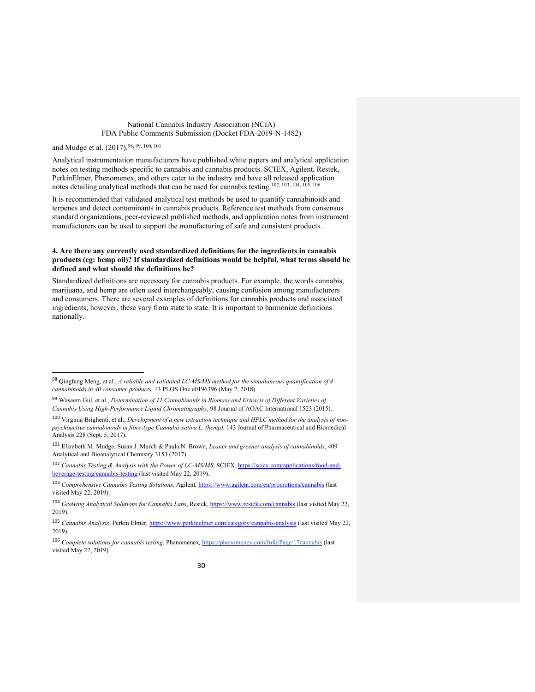and Mudge et al. (2017).98, 99, 100, 101

Analytical instrumentation manufacturers have published white papers and analytical application notes on testing methods specific to cannabis and cannabis products. SCIEX, Agilent, Restek, PerkinElmer, Phenomenex, and others cater to the industry and have all released application notes detailing analytical methods that can be used for cannabis testing.102, 103, 104, 105, 106

It is recommended that validated analytical test methods be used to quantify cannabinoids and terpenes and detect contaminants in cannabis products. Reference test methods from consensus standard organizations, peer-reviewed published methods, and application notes from instrument manufacturers can be used to support the manufacturing of safe and consistent products.

### **4. Are there any currently used standardized definitions for the ingredients in cannabis products (eg: hemp oil)? If standardized definitions would be helpful, what terms should be defined and what should the definitions be?**

Standardized definitions are necessary for cannabis products. For example, the words cannabis, marijuana, and hemp are often used interchangeably, causing confusion among manufacturers and consumers. There are several examples of definitions for cannabis products and associated ingredients; however, these vary from state to state. It is important to harmonize definitions nationally.

 <sup>98</sup> Qingfang Meng, et al., *A reliable and validated LC-MS/MS method for the simultaneous quantification of 4 cannabinoids in 40 consumer products,* 13 PLOS One e0196396 (May 2, 2018).

<sup>99</sup> Waseem Gul, et al., *Determination of 11 Cannabinoids in Biomass and Extracts of Different Varieties of Cannabis Using High-Performance Liquid Chromatography*, 98 Journal of AOAC International 1523 (2015).

<sup>100</sup> Virginia Brighenti, et al., *Development of a new extraction technique and HPLC method for the analysis of nonpsychoactive cannabinoids in fibre-type Cannabis sativa L. (hemp),* 143 Journal of Pharmaceutical and Biomedical Analysis 228 (Sept. 5, 2017).

<sup>101</sup> Elizabeth M. Mudge, Susan J. Murch & Paula N. Brown, *Leaner and greener analysis of cannabinoids,* 409 Analytical and Bioanalytical Chemistry 3153 (2017).

<sup>102</sup> *Cannabis Testing & Analysis with the Power of LC-MS/MS*, SCIEX, https://sciex.com/applications/food-andbeverage-testing/cannabis-testing (last visited May 22, 2019).

<sup>103</sup> *Comprehensive Cannabis Testing Solutions,* Agilent*,* https://www.agilent.com/en/promotions/cannabis (last visited May 22, 2019).

<sup>104</sup> *Growing Analytical Solutions for Cannabis Labs*, Restek*,* https://www.restek.com/cannabis (last visited May 22, 2019).

<sup>105</sup> *Cannabis Analysis*, Perkin Elmer*,* https://www.perkinelmer.com/category/cannabis-analysis (last visited May 22, 2019).

<sup>106</sup> *Complete solutions for cannabis testing*, Phenomenex*,* https://phenomenex.com/Info/Page/17cannabis (last visited May 22, 2019).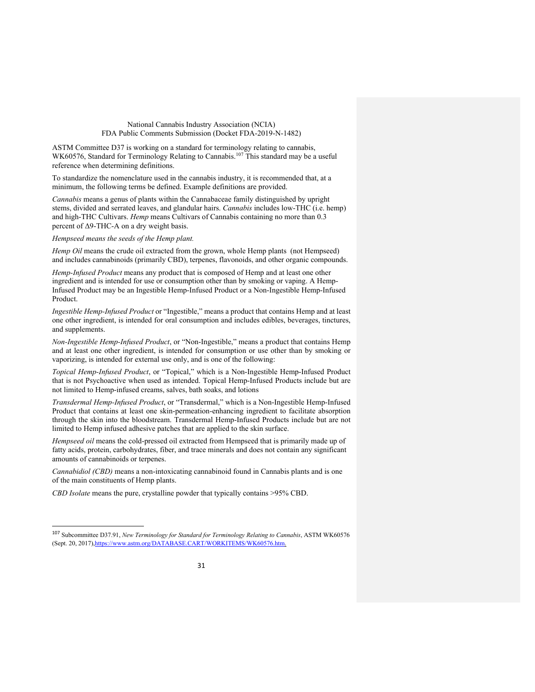ASTM Committee D37 is working on a standard for terminology relating to cannabis, WK60576, Standard for Terminology Relating to Cannabis.<sup>107</sup> This standard may be a useful reference when determining definitions.

To standardize the nomenclature used in the cannabis industry, it is recommended that, at a minimum, the following terms be defined. Example definitions are provided.

*Cannabis* means a genus of plants within the Cannabaceae family distinguished by upright stems, divided and serrated leaves, and glandular hairs. *Cannabis* includes low-THC (i.e. hemp) and high-THC Cultivars. *Hemp* means Cultivars of Cannabis containing no more than 0.3 percent of Δ9-THC-A on a dry weight basis.

*Hempseed means the seeds of the Hemp plant.*

*Hemp Oil* means the crude oil extracted from the grown, whole Hemp plants (not Hempseed) and includes cannabinoids (primarily CBD), terpenes, flavonoids, and other organic compounds.

*Hemp-Infused Product* means any product that is composed of Hemp and at least one other ingredient and is intended for use or consumption other than by smoking or vaping. A Hemp-Infused Product may be an Ingestible Hemp-Infused Product or a Non-Ingestible Hemp-Infused Product.

*Ingestible Hemp-Infused Product* or "Ingestible," means a product that contains Hemp and at least one other ingredient, is intended for oral consumption and includes edibles, beverages, tinctures, and supplements.

*Non-Ingestible Hemp-Infused Product*, or "Non-Ingestible," means a product that contains Hemp and at least one other ingredient, is intended for consumption or use other than by smoking or vaporizing, is intended for external use only, and is one of the following:

*Topical Hemp-Infused Product*, or "Topical," which is a Non-Ingestible Hemp-Infused Product that is not Psychoactive when used as intended. Topical Hemp-Infused Products include but are not limited to Hemp-infused creams, salves, bath soaks, and lotions

*Transdermal Hemp-Infused Product*, or "Transdermal," which is a Non-Ingestible Hemp-Infused Product that contains at least one skin-permeation-enhancing ingredient to facilitate absorption through the skin into the bloodstream. Transdermal Hemp-Infused Products include but are not limited to Hemp infused adhesive patches that are applied to the skin surface.

*Hempseed oil* means the cold-pressed oil extracted from Hempseed that is primarily made up of fatty acids, protein, carbohydrates, fiber, and trace minerals and does not contain any significant amounts of cannabinoids or terpenes.

*Cannabidiol (CBD)* means a non-intoxicating cannabinoid found in Cannabis plants and is one of the main constituents of Hemp plants.

*CBD Isolate* means the pure, crystalline powder that typically contains >95% CBD.

 <sup>107</sup> Subcommittee D37.91, *New Terminology for Standard for Terminology Relating to Cannabis*, ASTM WK60576 (Sept. 20, 2017),https://www.astm.org/DATABASE.CART/WORKITEMS/WK60576.htm.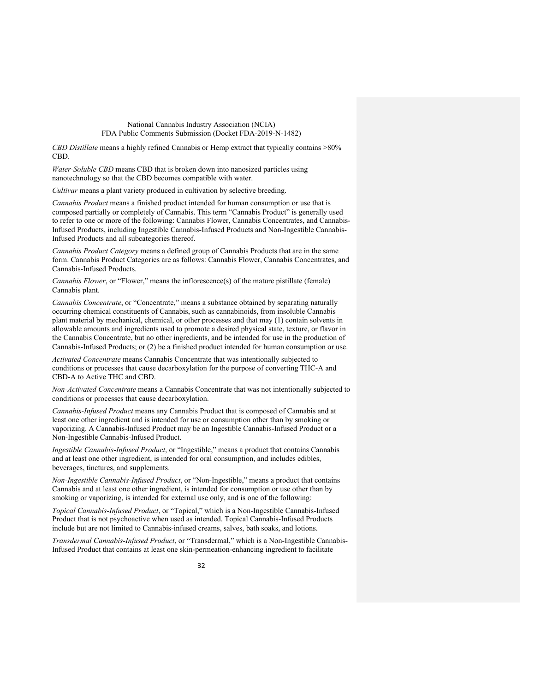*CBD Distillate* means a highly refined Cannabis or Hemp extract that typically contains >80% CBD.

*Water-Soluble CBD* means CBD that is broken down into nanosized particles using nanotechnology so that the CBD becomes compatible with water.

*Cultivar* means a plant variety produced in cultivation by selective breeding.

*Cannabis Product* means a finished product intended for human consumption or use that is composed partially or completely of Cannabis. This term "Cannabis Product" is generally used to refer to one or more of the following: Cannabis Flower, Cannabis Concentrates, and Cannabis-Infused Products, including Ingestible Cannabis-Infused Products and Non-Ingestible Cannabis-Infused Products and all subcategories thereof.

*Cannabis Product Category* means a defined group of Cannabis Products that are in the same form. Cannabis Product Categories are as follows: Cannabis Flower, Cannabis Concentrates, and Cannabis-Infused Products.

*Cannabis Flower*, or "Flower," means the inflorescence(s) of the mature pistillate (female) Cannabis plant.

*Cannabis Concentrate*, or "Concentrate," means a substance obtained by separating naturally occurring chemical constituents of Cannabis, such as cannabinoids, from insoluble Cannabis plant material by mechanical, chemical, or other processes and that may (1) contain solvents in allowable amounts and ingredients used to promote a desired physical state, texture, or flavor in the Cannabis Concentrate, but no other ingredients, and be intended for use in the production of Cannabis-Infused Products; or (2) be a finished product intended for human consumption or use.

*Activated Concentrate* means Cannabis Concentrate that was intentionally subjected to conditions or processes that cause decarboxylation for the purpose of converting THC-A and CBD-A to Active THC and CBD.

*Non-Activated Concentrate* means a Cannabis Concentrate that was not intentionally subjected to conditions or processes that cause decarboxylation.

*Cannabis-Infused Product* means any Cannabis Product that is composed of Cannabis and at least one other ingredient and is intended for use or consumption other than by smoking or vaporizing. A Cannabis-Infused Product may be an Ingestible Cannabis-Infused Product or a Non-Ingestible Cannabis-Infused Product.

*Ingestible Cannabis-Infused Product*, or "Ingestible," means a product that contains Cannabis and at least one other ingredient, is intended for oral consumption, and includes edibles, beverages, tinctures, and supplements.

*Non-Ingestible Cannabis-Infused Product*, or "Non-Ingestible," means a product that contains Cannabis and at least one other ingredient, is intended for consumption or use other than by smoking or vaporizing, is intended for external use only, and is one of the following:

*Topical Cannabis-Infused Product*, or "Topical," which is a Non-Ingestible Cannabis-Infused Product that is not psychoactive when used as intended. Topical Cannabis-Infused Products include but are not limited to Cannabis-infused creams, salves, bath soaks, and lotions.

*Transdermal Cannabis-Infused Product*, or "Transdermal," which is a Non-Ingestible Cannabis-Infused Product that contains at least one skin-permeation-enhancing ingredient to facilitate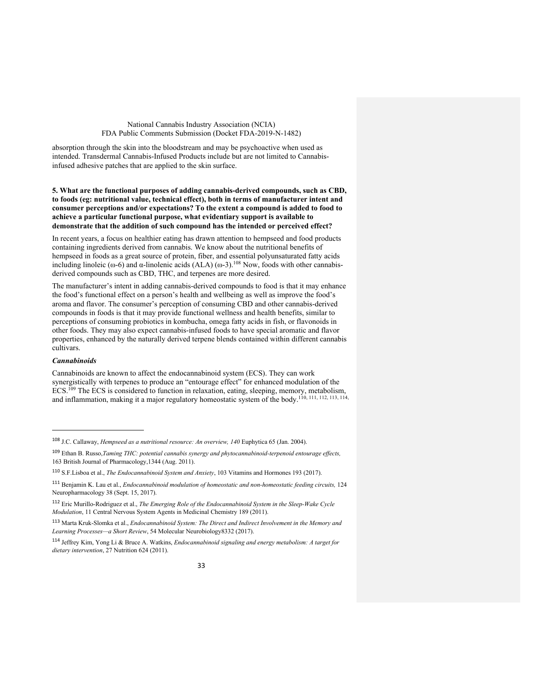absorption through the skin into the bloodstream and may be psychoactive when used as intended. Transdermal Cannabis-Infused Products include but are not limited to Cannabisinfused adhesive patches that are applied to the skin surface.

### **5. What are the functional purposes of adding cannabis-derived compounds, such as CBD, to foods (eg: nutritional value, technical effect), both in terms of manufacturer intent and consumer perceptions and/or expectations? To the extent a compound is added to food to achieve a particular functional purpose, what evidentiary support is available to demonstrate that the addition of such compound has the intended or perceived effect?**

In recent years, a focus on healthier eating has drawn attention to hempseed and food products containing ingredients derived from cannabis. We know about the nutritional benefits of hempseed in foods as a great source of protein, fiber, and essential polyunsaturated fatty acids including linoleic (ω-6) and α-linolenic acids  $(ALA)$  (ω-3).<sup>108</sup> Now, foods with other cannabisderived compounds such as CBD, THC, and terpenes are more desired.

The manufacturer's intent in adding cannabis-derived compounds to food is that it may enhance the food's functional effect on a person's health and wellbeing as well as improve the food's aroma and flavor. The consumer's perception of consuming CBD and other cannabis-derived compounds in foods is that it may provide functional wellness and health benefits, similar to perceptions of consuming probiotics in kombucha, omega fatty acids in fish, or flavonoids in other foods. They may also expect cannabis-infused foods to have special aromatic and flavor properties, enhanced by the naturally derived terpene blends contained within different cannabis cultivars.

## *Cannabinoids*

 $\overline{a}$ 

Cannabinoids are known to affect the endocannabinoid system (ECS). They can work synergistically with terpenes to produce an "entourage effect" for enhanced modulation of the ECS.<sup>109</sup> The ECS is considered to function in relaxation, eating, sleeping, memory, metabolism, and inflammation, making it a major regulatory homeostatic system of the body.110, 111, 112, 113, 114,

<sup>108</sup> J.C. Callaway, *Hempseed as a nutritional resource: An overview, 140* Euphytica 65 (Jan. 2004).

<sup>109</sup> Ethan B. Russo,*Taming THC: potential cannabis synergy and phytocannabinoid-terpenoid entourage effects,* 163 British Journal of Pharmacology,1344 (Aug. 2011).

<sup>110</sup> S.F.Lisboa et al., *The Endocannabinoid System and Anxiety*, 103 Vitamins and Hormones 193 (2017).

<sup>111</sup> Benjamin K. Lau et al., *Endocannabinoid modulation of homeostatic and non-homeostatic feeding circuits,* 124 Neuropharmacology 38 (Sept. 15, 2017).

<sup>112</sup> Eric Murillo-Rodriguez et al., *The Emerging Role of the Endocannabinoid System in the Sleep-Wake Cycle Modulation*, 11 Central Nervous System Agents in Medicinal Chemistry 189 (2011).

<sup>113</sup> Marta Kruk-Slomka et al., *Endocannabinoid System: The Direct and Indirect Involvement in the Memory and Learning Processes—a Short Review*, 54 Molecular Neurobiology8332 (2017).

<sup>114</sup> Jeffrey Kim, Yong Li & Bruce A. Watkins, *Endocannabinoid signaling and energy metabolism: A target for dietary intervention*, 27 Nutrition 624 (2011).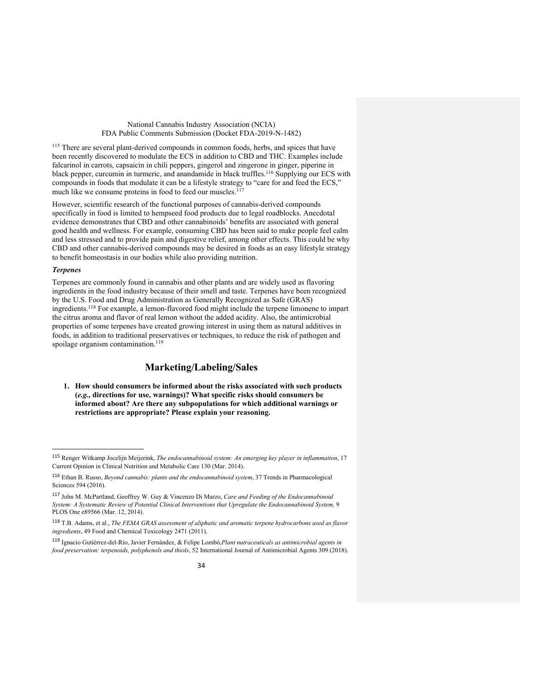<sup>115</sup> There are several plant-derived compounds in common foods, herbs, and spices that have been recently discovered to modulate the ECS in addition to CBD and THC. Examples include falcarinol in carrots, capsaicin in chili peppers, gingerol and zingerone in ginger, piperine in black pepper, curcumin in turmeric, and anandamide in black truffles.<sup>116</sup> Supplying our ECS with compounds in foods that modulate it can be a lifestyle strategy to "care for and feed the ECS," much like we consume proteins in food to feed our muscles.<sup>117</sup>

However, scientific research of the functional purposes of cannabis-derived compounds specifically in food is limited to hempseed food products due to legal roadblocks. Anecdotal evidence demonstrates that CBD and other cannabinoids' benefits are associated with general good health and wellness. For example, consuming CBD has been said to make people feel calm and less stressed and to provide pain and digestive relief, among other effects. This could be why CBD and other cannabis-derived compounds may be desired in foods as an easy lifestyle strategy to benefit homeostasis in our bodies while also providing nutrition.

#### *Terpenes*

Terpenes are commonly found in cannabis and other plants and are widely used as flavoring ingredients in the food industry because of their smell and taste. Terpenes have been recognized by the U.S. Food and Drug Administration as Generally Recognized as Safe (GRAS) ingredients.118 For example, a lemon-flavored food might include the terpene limonene to impart the citrus aroma and flavor of real lemon without the added acidity. Also, the antimicrobial properties of some terpenes have created growing interest in using them as natural additives in foods, in addition to traditional preservatives or techniques, to reduce the risk of pathogen and spoilage organism contamination.<sup>119</sup>

## **Marketing/Labeling/Sales**

**1. How should consumers be informed about the risks associated with such products (***e.g.,* **directions for use, warnings)? What specific risks should consumers be informed about? Are there any subpopulations for which additional warnings or restrictions are appropriate? Please explain your reasoning.**

 <sup>115</sup> Renger Witkamp Jocelijn Meijerink, *The endocannabinoid system: An emerging key player in inflammation*, 17 Current Opinion in Clinical Nutrition and Metabolic Care 130 (Mar. 2014).

<sup>116</sup> Ethan B. Russo, *Beyond cannabis: plants and the endocannabinoid system*, 37 Trends in Pharmacological Sciences 594 (2016).

<sup>117</sup> John M. McPartland, Geoffrey W. Guy & Vincenzo Di Marzo, *Care and Feeding of the Endocannabinoid System: A Systematic Review of Potential Clinical Interventions that Upregulate the Endocannabinoid System,* 9 PLOS One e89566 (Mar. 12, 2014).

<sup>118</sup> T.B. Adams, et al., *The FEMA GRAS assessment of aliphatic and aromatic terpene hydrocarbons used as flavor ingredients*, 49 Food and Chemical Toxicology 2471 (2011).

<sup>119</sup> Ignacio Gutiérrez-del-Río, Javier Fernández, & Felipe Lombó,*Plant nutraceuticals as antimicrobial agents in food preservation: terpenoids, polyphenols and thiols*, 52 International Journal of Antimicrobial Agents 309 (2018).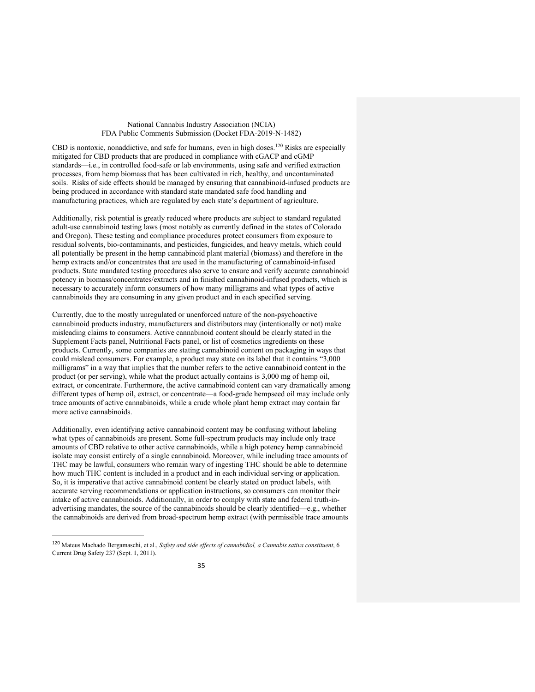CBD is nontoxic, nonaddictive, and safe for humans, even in high doses.<sup>120</sup> Risks are especially mitigated for CBD products that are produced in compliance with cGACP and cGMP standards—i.e., in controlled food-safe or lab environments, using safe and verified extraction processes, from hemp biomass that has been cultivated in rich, healthy, and uncontaminated soils. Risks of side effects should be managed by ensuring that cannabinoid-infused products are being produced in accordance with standard state mandated safe food handling and manufacturing practices, which are regulated by each state's department of agriculture.

Additionally, risk potential is greatly reduced where products are subject to standard regulated adult-use cannabinoid testing laws (most notably as currently defined in the states of Colorado and Oregon). These testing and compliance procedures protect consumers from exposure to residual solvents, bio-contaminants, and pesticides, fungicides, and heavy metals, which could all potentially be present in the hemp cannabinoid plant material (biomass) and therefore in the hemp extracts and/or concentrates that are used in the manufacturing of cannabinoid-infused products. State mandated testing procedures also serve to ensure and verify accurate cannabinoid potency in biomass/concentrates/extracts and in finished cannabinoid-infused products, which is necessary to accurately inform consumers of how many milligrams and what types of active cannabinoids they are consuming in any given product and in each specified serving.

Currently, due to the mostly unregulated or unenforced nature of the non-psychoactive cannabinoid products industry, manufacturers and distributors may (intentionally or not) make misleading claims to consumers. Active cannabinoid content should be clearly stated in the Supplement Facts panel, Nutritional Facts panel, or list of cosmetics ingredients on these products. Currently, some companies are stating cannabinoid content on packaging in ways that could mislead consumers. For example, a product may state on its label that it contains "3,000 milligrams" in a way that implies that the number refers to the active cannabinoid content in the product (or per serving), while what the product actually contains is 3,000 mg of hemp oil, extract, or concentrate. Furthermore, the active cannabinoid content can vary dramatically among different types of hemp oil, extract, or concentrate—a food-grade hempseed oil may include only trace amounts of active cannabinoids, while a crude whole plant hemp extract may contain far more active cannabinoids.

Additionally, even identifying active cannabinoid content may be confusing without labeling what types of cannabinoids are present. Some full-spectrum products may include only trace amounts of CBD relative to other active cannabinoids, while a high potency hemp cannabinoid isolate may consist entirely of a single cannabinoid. Moreover, while including trace amounts of THC may be lawful, consumers who remain wary of ingesting THC should be able to determine how much THC content is included in a product and in each individual serving or application. So, it is imperative that active cannabinoid content be clearly stated on product labels, with accurate serving recommendations or application instructions, so consumers can monitor their intake of active cannabinoids. Additionally, in order to comply with state and federal truth-inadvertising mandates, the source of the cannabinoids should be clearly identified—e.g., whether the cannabinoids are derived from broad-spectrum hemp extract (with permissible trace amounts

 <sup>120</sup> Mateus Machado Bergamaschi, et al., *Safety and side effects of cannabidiol, a Cannabis sativa constituent*, 6 Current Drug Safety 237 (Sept. 1, 2011).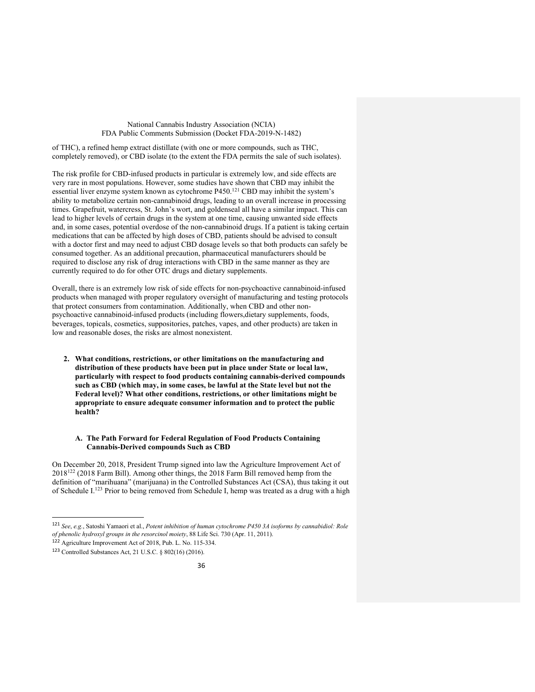of THC), a refined hemp extract distillate (with one or more compounds, such as THC, completely removed), or CBD isolate (to the extent the FDA permits the sale of such isolates).

The risk profile for CBD-infused products in particular is extremely low, and side effects are very rare in most populations. However, some studies have shown that CBD may inhibit the essential liver enzyme system known as cytochrome P450.121 CBD may inhibit the system's ability to metabolize certain non-cannabinoid drugs, leading to an overall increase in processing times. Grapefruit, watercress, St. John's wort, and goldenseal all have a similar impact. This can lead to higher levels of certain drugs in the system at one time, causing unwanted side effects and, in some cases, potential overdose of the non-cannabinoid drugs. If a patient is taking certain medications that can be affected by high doses of CBD, patients should be advised to consult with a doctor first and may need to adjust CBD dosage levels so that both products can safely be consumed together. As an additional precaution, pharmaceutical manufacturers should be required to disclose any risk of drug interactions with CBD in the same manner as they are currently required to do for other OTC drugs and dietary supplements.

Overall, there is an extremely low risk of side effects for non-psychoactive cannabinoid-infused products when managed with proper regulatory oversight of manufacturing and testing protocols that protect consumers from contamination. Additionally, when CBD and other nonpsychoactive cannabinoid-infused products (including flowers,dietary supplements, foods, beverages, topicals, cosmetics, suppositories, patches, vapes, and other products) are taken in low and reasonable doses, the risks are almost nonexistent.

**2. What conditions, restrictions, or other limitations on the manufacturing and distribution of these products have been put in place under State or local law, particularly with respect to food products containing cannabis-derived compounds such as CBD (which may, in some cases, be lawful at the State level but not the Federal level)? What other conditions, restrictions, or other limitations might be appropriate to ensure adequate consumer information and to protect the public health?**

## **A. The Path Forward for Federal Regulation of Food Products Containing Cannabis-Derived compounds Such as CBD**

On December 20, 2018, President Trump signed into law the Agriculture Improvement Act of 2018122 (2018 Farm Bill). Among other things, the 2018 Farm Bill removed hemp from the definition of "marihuana" (marijuana) in the Controlled Substances Act (CSA), thus taking it out of Schedule I.<sup>123</sup> Prior to being removed from Schedule I, hemp was treated as a drug with a high

 <sup>121</sup> *See*, *e.g.*, Satoshi Yamaori et al., *Potent inhibition of human cytochrome P450 3A isoforms by cannabidiol: Role of phenolic hydroxyl groups in the resorcinol moiety*, 88 Life Sci. 730 (Apr. 11, 2011).

<sup>122</sup> Agriculture Improvement Act of 2018, Pub. L. No. 115-334.

<sup>123</sup> Controlled Substances Act, 21 U.S.C. § 802(16) (2016).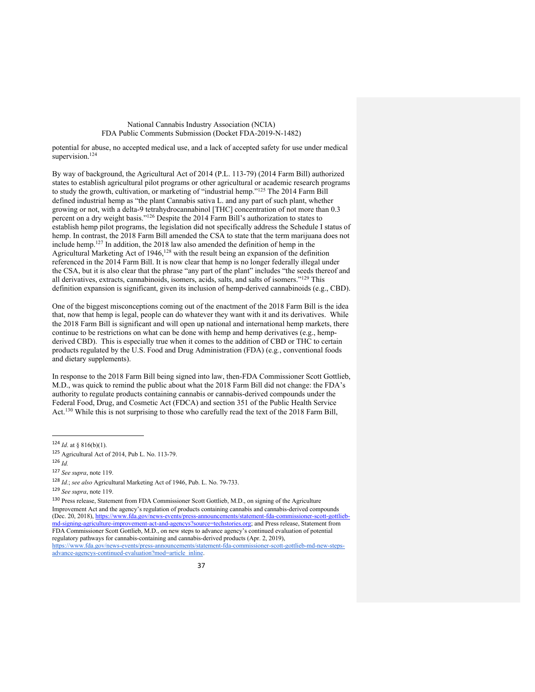potential for abuse, no accepted medical use, and a lack of accepted safety for use under medical supervision.<sup>124</sup>

By way of background, the Agricultural Act of 2014 (P.L. 113-79) (2014 Farm Bill) authorized states to establish agricultural pilot programs or other agricultural or academic research programs to study the growth, cultivation, or marketing of "industrial hemp."125 The 2014 Farm Bill defined industrial hemp as "the plant Cannabis sativa L. and any part of such plant, whether growing or not, with a delta-9 tetrahydrocannabinol [THC] concentration of not more than 0.3 percent on a dry weight basis."126 Despite the 2014 Farm Bill's authorization to states to establish hemp pilot programs, the legislation did not specifically address the Schedule I status of hemp. In contrast, the 2018 Farm Bill amended the CSA to state that the term marijuana does not include hemp.127 In addition, the 2018 law also amended the definition of hemp in the Agricultural Marketing Act of 1946,<sup>128</sup> with the result being an expansion of the definition referenced in the 2014 Farm Bill. It is now clear that hemp is no longer federally illegal under the CSA, but it is also clear that the phrase "any part of the plant" includes "the seeds thereof and all derivatives, extracts, cannabinoids, isomers, acids, salts, and salts of isomers."129 This definition expansion is significant, given its inclusion of hemp-derived cannabinoids (e.g., CBD).

One of the biggest misconceptions coming out of the enactment of the 2018 Farm Bill is the idea that, now that hemp is legal, people can do whatever they want with it and its derivatives. While the 2018 Farm Bill is significant and will open up national and international hemp markets, there continue to be restrictions on what can be done with hemp and hemp derivatives  $(e.g., hemp$ derived CBD). This is especially true when it comes to the addition of CBD or THC to certain products regulated by the U.S. Food and Drug Administration (FDA) (e.g*.*, conventional foods and dietary supplements).

In response to the 2018 Farm Bill being signed into law, then-FDA Commissioner Scott Gottlieb, M.D., was quick to remind the public about what the 2018 Farm Bill did not change: the FDA's authority to regulate products containing cannabis or cannabis-derived compounds under the Federal Food, Drug, and Cosmetic Act (FDCA) and section 351 of the Public Health Service Act.130 While this is not surprising to those who carefully read the text of the 2018 Farm Bill,

<sup>130</sup> Press release, Statement from FDA Commissioner Scott Gottlieb, M.D., on signing of the Agriculture Improvement Act and the agency's regulation of products containing cannabis and cannabis-derived compounds (Dec. 20, 2018), https://www.fda.gov/news-events/press-announcements/statement-fda-commissioner-scott-gottliebmd-signing-agriculture-improvement-act-and-agencys?source=techstories.org; and Press release, Statement from FDA Commissioner Scott Gottlieb, M.D., on new steps to advance agency's continued evaluation of potential regulatory pathways for cannabis-containing and cannabis-derived products (Apr. 2, 2019), https://www.fda.gov/news-events/press-announcements/statement-fda-commissioner-scott-gottlieb-md-new-stepsadvance-agencys-continued-evaluation?mod=article\_inline.

 <sup>124</sup> *Id*. at § 816(b)(1).

<sup>125</sup> Agricultural Act of 2014, Pub L. No. 113-79.

<sup>126</sup> *Id.*

<sup>127</sup> *See supra*, note 119.

<sup>128</sup> *Id.*; *see also* Agricultural Marketing Act of 1946, Pub. L. No. 79-733.

<sup>129</sup> *See supra*, note 119.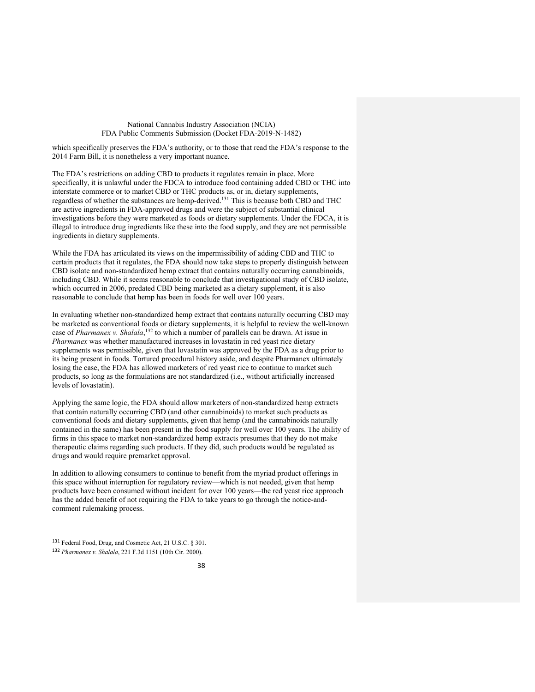which specifically preserves the FDA's authority, or to those that read the FDA's response to the 2014 Farm Bill, it is nonetheless a very important nuance.

The FDA's restrictions on adding CBD to products it regulates remain in place. More specifically, it is unlawful under the FDCA to introduce food containing added CBD or THC into interstate commerce or to market CBD or THC products as, or in, dietary supplements, regardless of whether the substances are hemp-derived.131 This is because both CBD and THC are active ingredients in FDA-approved drugs and were the subject of substantial clinical investigations before they were marketed as foods or dietary supplements. Under the FDCA, it is illegal to introduce drug ingredients like these into the food supply, and they are not permissible ingredients in dietary supplements.

While the FDA has articulated its views on the impermissibility of adding CBD and THC to certain products that it regulates, the FDA should now take steps to properly distinguish between CBD isolate and non-standardized hemp extract that contains naturally occurring cannabinoids, including CBD. While it seems reasonable to conclude that investigational study of CBD isolate, which occurred in 2006, predated CBD being marketed as a dietary supplement, it is also reasonable to conclude that hemp has been in foods for well over 100 years.

In evaluating whether non-standardized hemp extract that contains naturally occurring CBD may be marketed as conventional foods or dietary supplements, it is helpful to review the well-known case of *Pharmanex v. Shalala*, <sup>132</sup> to which a number of parallels can be drawn. At issue in *Pharmanex* was whether manufactured increases in lovastatin in red yeast rice dietary supplements was permissible, given that lovastatin was approved by the FDA as a drug prior to its being present in foods. Tortured procedural history aside, and despite Pharmanex ultimately losing the case, the FDA has allowed marketers of red yeast rice to continue to market such products, so long as the formulations are not standardized (i.e., without artificially increased levels of lovastatin).

Applying the same logic, the FDA should allow marketers of non-standardized hemp extracts that contain naturally occurring CBD (and other cannabinoids) to market such products as conventional foods and dietary supplements, given that hemp (and the cannabinoids naturally contained in the same) has been present in the food supply for well over 100 years. The ability of firms in this space to market non-standardized hemp extracts presumes that they do not make therapeutic claims regarding such products. If they did, such products would be regulated as drugs and would require premarket approval.

In addition to allowing consumers to continue to benefit from the myriad product offerings in this space without interruption for regulatory review—which is not needed, given that hemp products have been consumed without incident for over 100 years—the red yeast rice approach has the added benefit of not requiring the FDA to take years to go through the notice-andcomment rulemaking process.

 <sup>131</sup> Federal Food, Drug, and Cosmetic Act, 21 U.S.C. § 301.

<sup>132</sup> *Pharmanex v. Shalala*, 221 F.3d 1151 (10th Cir. 2000).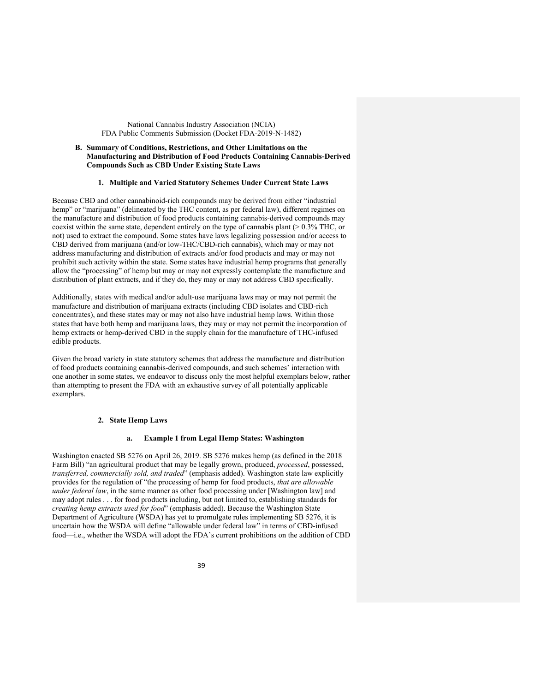## **B. Summary of Conditions, Restrictions, and Other Limitations on the Manufacturing and Distribution of Food Products Containing Cannabis-Derived Compounds Such as CBD Under Existing State Laws**

## **1. Multiple and Varied Statutory Schemes Under Current State Laws**

Because CBD and other cannabinoid-rich compounds may be derived from either "industrial hemp" or "marijuana" (delineated by the THC content, as per federal law), different regimes on the manufacture and distribution of food products containing cannabis-derived compounds may coexist within the same state, dependent entirely on the type of cannabis plant (> 0.3% THC, or not) used to extract the compound. Some states have laws legalizing possession and/or access to CBD derived from marijuana (and/or low-THC/CBD-rich cannabis), which may or may not address manufacturing and distribution of extracts and/or food products and may or may not prohibit such activity within the state. Some states have industrial hemp programs that generally allow the "processing" of hemp but may or may not expressly contemplate the manufacture and distribution of plant extracts, and if they do, they may or may not address CBD specifically.

Additionally, states with medical and/or adult-use marijuana laws may or may not permit the manufacture and distribution of marijuana extracts (including CBD isolates and CBD-rich concentrates), and these states may or may not also have industrial hemp laws. Within those states that have both hemp and marijuana laws, they may or may not permit the incorporation of hemp extracts or hemp-derived CBD in the supply chain for the manufacture of THC-infused edible products.

Given the broad variety in state statutory schemes that address the manufacture and distribution of food products containing cannabis-derived compounds, and such schemes' interaction with one another in some states, we endeavor to discuss only the most helpful exemplars below, rather than attempting to present the FDA with an exhaustive survey of all potentially applicable exemplars.

#### **2. State Hemp Laws**

#### **a. Example 1 from Legal Hemp States: Washington**

Washington enacted SB 5276 on April 26, 2019. SB 5276 makes hemp (as defined in the 2018 Farm Bill) "an agricultural product that may be legally grown, produced, *processed*, possessed, *transferred, commercially sold, and traded*" (emphasis added). Washington state law explicitly provides for the regulation of "the processing of hemp for food products, *that are allowable under federal law*, in the same manner as other food processing under [Washington law] and may adopt rules . . . for food products including, but not limited to, establishing standards for *creating hemp extracts used for food*" (emphasis added). Because the Washington State Department of Agriculture (WSDA) has yet to promulgate rules implementing SB 5276, it is uncertain how the WSDA will define "allowable under federal law" in terms of CBD-infused food—i.e., whether the WSDA will adopt the FDA's current prohibitions on the addition of CBD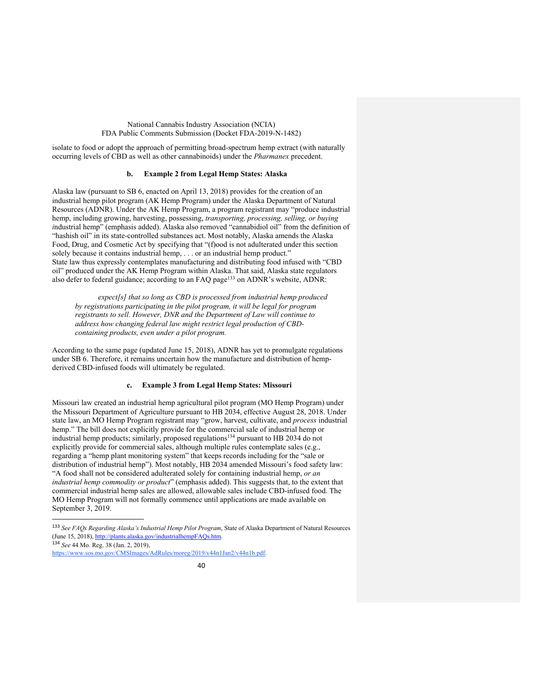isolate to food or adopt the approach of permitting broad-spectrum hemp extract (with naturally occurring levels of CBD as well as other cannabinoids) under the *Pharmanex* precedent.

## **b. Example 2 from Legal Hemp States: Alaska**

Alaska law (pursuant to SB 6, enacted on April 13, 2018) provides for the creation of an industrial hemp pilot program (AK Hemp Program) under the Alaska Department of Natural Resources (ADNR). Under the AK Hemp Program, a program registrant may "produce industrial hemp, including growing, harvesting, possessing, *transporting, processing, selling, or buying i*ndustrial hemp" (emphasis added). Alaska also removed "cannabidiol oil" from the definition of "hashish oil" in its state-controlled substances act. Most notably, Alaska amends the Alaska Food, Drug, and Cosmetic Act by specifying that "(f)ood is not adulterated under this section solely because it contains industrial hemp, . . . or an industrial hemp product." State law thus expressly contemplates manufacturing and distributing food infused with "CBD oil" produced under the AK Hemp Program within Alaska. That said, Alaska state regulators also defer to federal guidance; according to an FAQ page<sup>133</sup> on ADNR's website, ADNR:

*expect[s] that so long as CBD is processed from industrial hemp produced by registrations participating in the pilot program, it will be legal for program registrants to sell. However, DNR and the Department of Law will continue to address how changing federal law might restrict legal production of CBDcontaining products, even under a pilot program.* 

According to the same page (updated June 15, 2018), ADNR has yet to promulgate regulations under SB 6. Therefore, it remains uncertain how the manufacture and distribution of hempderived CBD-infused foods will ultimately be regulated.

## **c. Example 3 from Legal Hemp States: Missouri**

Missouri law created an industrial hemp agricultural pilot program (MO Hemp Program) under the Missouri Department of Agriculture pursuant to HB 2034, effective August 28, 2018. Under state law, an MO Hemp Program registrant may "grow, harvest, cultivate, and *process* industrial hemp." The bill does not explicitly provide for the commercial sale of industrial hemp or industrial hemp products; similarly, proposed regulations<sup>134</sup> pursuant to HB 2034 do not explicitly provide for commercial sales, although multiple rules contemplate sales (e.g., regarding a "hemp plant monitoring system" that keeps records including for the "sale or distribution of industrial hemp"). Most notably, HB 2034 amended Missouri's food safety law: "A food shall not be considered adulterated solely for containing industrial hemp, *or an industrial hemp commodity or product*" (emphasis added). This suggests that, to the extent that commercial industrial hemp sales are allowed, allowable sales include CBD-infused food. The MO Hemp Program will not formally commence until applications are made available on September 3, 2019.

https://www.sos.mo.gov/CMSImages/AdRules/moreg/2019/v44n1Jan2/v44n1b.pdf.

 <sup>133</sup> *See FAQs Regarding Alaska's Industrial Hemp Pilot Program*, State of Alaska Department of Natural Resources (June 15, 2018), http://plants.alaska.gov/industrialhempFAQs.htm. <sup>134</sup> *See* 44 Mo. Reg. 38 (Jan. 2, 2019),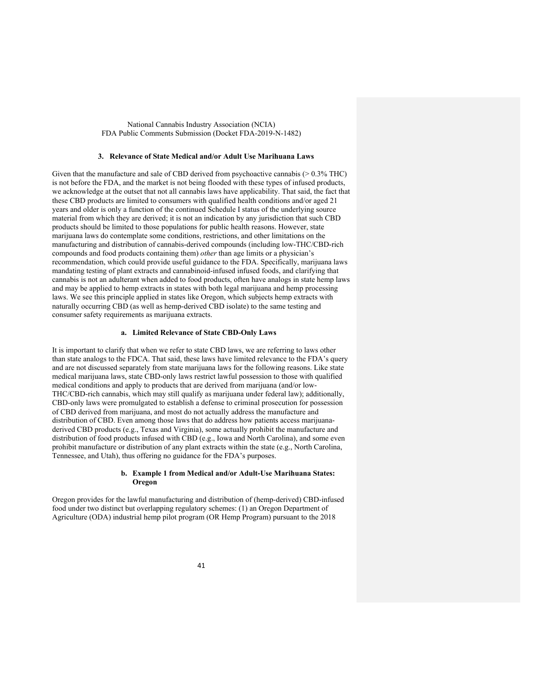#### **3. Relevance of State Medical and/or Adult Use Marihuana Laws**

Given that the manufacture and sale of CBD derived from psychoactive cannabis (> 0.3% THC) is not before the FDA, and the market is not being flooded with these types of infused products, we acknowledge at the outset that not all cannabis laws have applicability. That said, the fact that these CBD products are limited to consumers with qualified health conditions and/or aged 21 years and older is only a function of the continued Schedule I status of the underlying source material from which they are derived; it is not an indication by any jurisdiction that such CBD products should be limited to those populations for public health reasons. However, state marijuana laws do contemplate some conditions, restrictions, and other limitations on the manufacturing and distribution of cannabis-derived compounds (including low-THC/CBD-rich compounds and food products containing them) *other* than age limits or a physician's recommendation, which could provide useful guidance to the FDA. Specifically, marijuana laws mandating testing of plant extracts and cannabinoid-infused infused foods, and clarifying that cannabis is not an adulterant when added to food products, often have analogs in state hemp laws and may be applied to hemp extracts in states with both legal marijuana and hemp processing laws. We see this principle applied in states like Oregon, which subjects hemp extracts with naturally occurring CBD (as well as hemp-derived CBD isolate) to the same testing and consumer safety requirements as marijuana extracts.

## **a. Limited Relevance of State CBD-Only Laws**

It is important to clarify that when we refer to state CBD laws, we are referring to laws other than state analogs to the FDCA. That said, these laws have limited relevance to the FDA's query and are not discussed separately from state marijuana laws for the following reasons. Like state medical marijuana laws, state CBD-only laws restrict lawful possession to those with qualified medical conditions and apply to products that are derived from marijuana (and/or low-THC/CBD-rich cannabis, which may still qualify as marijuana under federal law); additionally, CBD-only laws were promulgated to establish a defense to criminal prosecution for possession of CBD derived from marijuana, and most do not actually address the manufacture and distribution of CBD. Even among those laws that do address how patients access marijuanaderived CBD products (e.g., Texas and Virginia), some actually prohibit the manufacture and distribution of food products infused with CBD (e.g., Iowa and North Carolina), and some even prohibit manufacture or distribution of any plant extracts within the state (e.g., North Carolina, Tennessee, and Utah), thus offering no guidance for the FDA's purposes.

## **b. Example 1 from Medical and/or Adult-Use Marihuana States: Oregon**

Oregon provides for the lawful manufacturing and distribution of (hemp-derived) CBD-infused food under two distinct but overlapping regulatory schemes: (1) an Oregon Department of Agriculture (ODA) industrial hemp pilot program (OR Hemp Program) pursuant to the 2018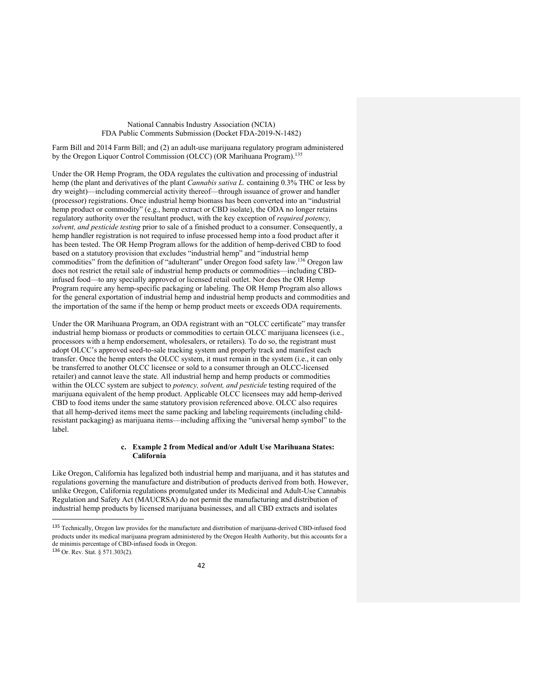Farm Bill and 2014 Farm Bill; and (2) an adult-use marijuana regulatory program administered by the Oregon Liquor Control Commission (OLCC) (OR Marihuana Program).<sup>135</sup>

Under the OR Hemp Program, the ODA regulates the cultivation and processing of industrial hemp (the plant and derivatives of the plant *Cannabis sativa L.* containing 0.3% THC or less by dry weight)—including commercial activity thereof—through issuance of grower and handler (processor) registrations. Once industrial hemp biomass has been converted into an "industrial hemp product or commodity" (e.g., hemp extract or CBD isolate), the ODA no longer retains regulatory authority over the resultant product, with the key exception of *required potency, solvent, and pesticide testing* prior to sale of a finished product to a consumer. Consequently, a hemp handler registration is not required to infuse processed hemp into a food product after it has been tested. The OR Hemp Program allows for the addition of hemp-derived CBD to food based on a statutory provision that excludes "industrial hemp" and "industrial hemp commodities" from the definition of "adulterant" under Oregon food safety law.136 Oregon law does not restrict the retail sale of industrial hemp products or commodities—including CBDinfused food—to any specially approved or licensed retail outlet. Nor does the OR Hemp Program require any hemp-specific packaging or labeling. The OR Hemp Program also allows for the general exportation of industrial hemp and industrial hemp products and commodities and the importation of the same if the hemp or hemp product meets or exceeds ODA requirements.

Under the OR Marihuana Program, an ODA registrant with an "OLCC certificate" may transfer industrial hemp biomass or products or commodities to certain OLCC marijuana licensees (i.e., processors with a hemp endorsement, wholesalers, or retailers). To do so, the registrant must adopt OLCC's approved seed-to-sale tracking system and properly track and manifest each transfer. Once the hemp enters the OLCC system, it must remain in the system (i.e., it can only be transferred to another OLCC licensee or sold to a consumer through an OLCC-licensed retailer) and cannot leave the state. All industrial hemp and hemp products or commodities within the OLCC system are subject to *potency, solvent, and pesticide* testing required of the marijuana equivalent of the hemp product. Applicable OLCC licensees may add hemp-derived CBD to food items under the same statutory provision referenced above. OLCC also requires that all hemp-derived items meet the same packing and labeling requirements (including childresistant packaging) as marijuana items—including affixing the "universal hemp symbol" to the label.

#### **c. Example 2 from Medical and/or Adult Use Marihuana States: California**

Like Oregon, California has legalized both industrial hemp and marijuana, and it has statutes and regulations governing the manufacture and distribution of products derived from both. However, unlike Oregon, California regulations promulgated under its Medicinal and Adult-Use Cannabis Regulation and Safety Act (MAUCRSA) do not permit the manufacturing and distribution of industrial hemp products by licensed marijuana businesses, and all CBD extracts and isolates

 <sup>135</sup> Technically, Oregon law provides for the manufacture and distribution of marijuana-derived CBD-infused food products under its medical marijuana program administered by the Oregon Health Authority, but this accounts for a de minimis percentage of CBD-infused foods in Oregon.

<sup>136</sup> Or. Rev. Stat. § 571.303(2).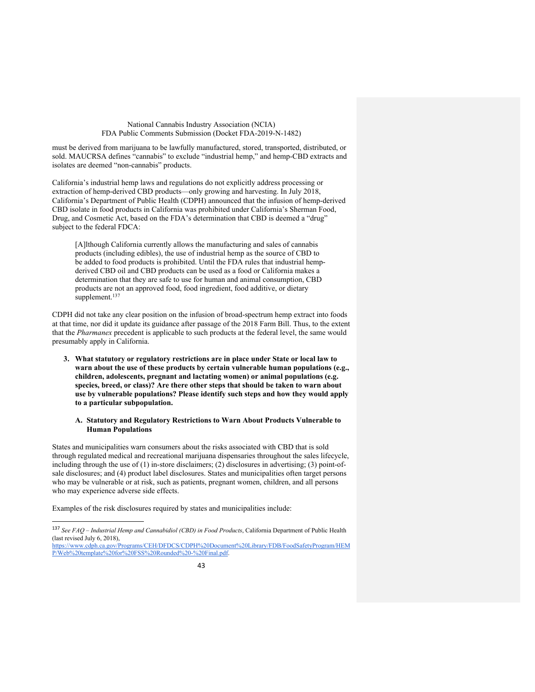must be derived from marijuana to be lawfully manufactured, stored, transported, distributed, or sold. MAUCRSA defines "cannabis" to exclude "industrial hemp," and hemp-CBD extracts and isolates are deemed "non-cannabis" products.

California's industrial hemp laws and regulations do not explicitly address processing or extraction of hemp-derived CBD products—only growing and harvesting. In July 2018, California's Department of Public Health (CDPH) announced that the infusion of hemp-derived CBD isolate in food products in California was prohibited under California's Sherman Food, Drug, and Cosmetic Act, based on the FDA's determination that CBD is deemed a "drug" subject to the federal FDCA:

[A]lthough California currently allows the manufacturing and sales of cannabis products (including edibles), the use of industrial hemp as the source of CBD to be added to food products is prohibited. Until the FDA rules that industrial hempderived CBD oil and CBD products can be used as a food or California makes a determination that they are safe to use for human and animal consumption, CBD products are not an approved food, food ingredient, food additive, or dietary supplement.<sup>137</sup>

CDPH did not take any clear position on the infusion of broad-spectrum hemp extract into foods at that time, nor did it update its guidance after passage of the 2018 Farm Bill. Thus, to the extent that the *Pharmanex* precedent is applicable to such products at the federal level, the same would presumably apply in California.

**3. What statutory or regulatory restrictions are in place under State or local law to warn about the use of these products by certain vulnerable human populations (e.g., children, adolescents, pregnant and lactating women) or animal populations (e.g. species, breed, or class)? Are there other steps that should be taken to warn about use by vulnerable populations? Please identify such steps and how they would apply to a particular subpopulation.**

## **A. Statutory and Regulatory Restrictions to Warn About Products Vulnerable to Human Populations**

States and municipalities warn consumers about the risks associated with CBD that is sold through regulated medical and recreational marijuana dispensaries throughout the sales lifecycle, including through the use of (1) in-store disclaimers; (2) disclosures in advertising; (3) point-ofsale disclosures; and (4) product label disclosures. States and municipalities often target persons who may be vulnerable or at risk, such as patients, pregnant women, children, and all persons who may experience adverse side effects.

Examples of the risk disclosures required by states and municipalities include:

 <sup>137</sup> *See FAQ – Industrial Hemp and Cannabidiol (CBD) in Food Products*, California Department of Public Health (last revised July 6, 2018),

https://www.cdph.ca.gov/Programs/CEH/DFDCS/CDPH%20Document%20Library/FDB/FoodSafetyProgram/HEM P/Web%20template%20for%20FSS%20Rounded%20-%20Final.pdf.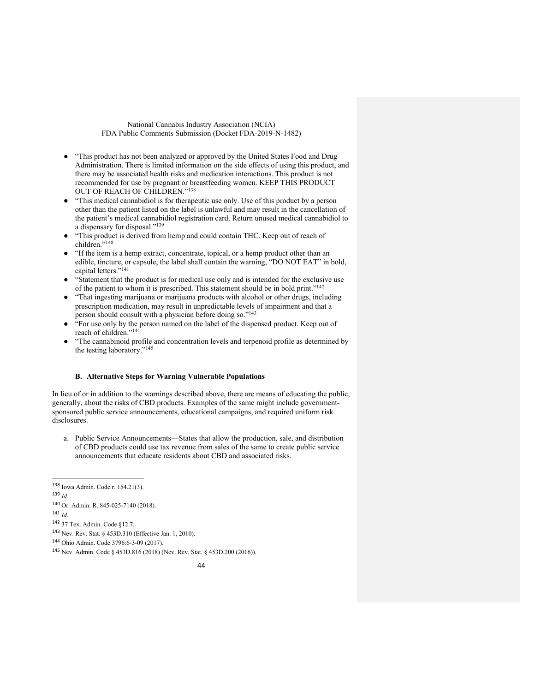- "This product has not been analyzed or approved by the United States Food and Drug Administration. There is limited information on the side effects of using this product, and there may be associated health risks and medication interactions. This product is not recommended for use by pregnant or breastfeeding women. KEEP THIS PRODUCT OUT OF REACH OF CHILDREN."138
- "This medical cannabidiol is for therapeutic use only. Use of this product by a person other than the patient listed on the label is unlawful and may result in the cancellation of the patient's medical cannabidiol registration card. Return unused medical cannabidiol to a dispensary for disposal."139
- "This product is derived from hemp and could contain THC. Keep out of reach of children."140
- "If the item is a hemp extract, concentrate, topical, or a hemp product other than an edible, tincture, or capsule, the label shall contain the warning, "DO NOT EAT" in bold, capital letters."<sup>141</sup>
- "Statement that the product is for medical use only and is intended for the exclusive use of the patient to whom it is prescribed. This statement should be in bold print."142
- "That ingesting marijuana or marijuana products with alcohol or other drugs, including prescription medication, may result in unpredictable levels of impairment and that a person should consult with a physician before doing so."143
- "For use only by the person named on the label of the dispensed product. Keep out of reach of children."<sup>14</sup>
- "The cannabinoid profile and concentration levels and terpenoid profile as determined by the testing laboratory."145

## **B. Alternative Steps for Warning Vulnerable Populations**

In lieu of or in addition to the warnings described above, there are means of educating the public, generally, about the risks of CBD products. Examples of the same might include governmentsponsored public service announcements, educational campaigns, and required uniform risk disclosures.

a. Public Service Announcements—States that allow the production, sale, and distribution of CBD products could use tax revenue from sales of the same to create public service announcements that educate residents about CBD and associated risks.

<sup>139</sup> *Id*.

 <sup>138</sup> Iowa Admin. Code r. 154.21(3).

<sup>140</sup> Or. Admin. R. 845-025-7140 (2018).

<sup>141</sup> *Id*.

<sup>142</sup> 37 Tex. Admin. Code §12.7.

<sup>143</sup> Nev. Rev. Stat. § 453D.310 (Effective Jan. 1, 2010).

<sup>144</sup> Ohio Admin. Code 3796:6-3-09 (2017).

<sup>145</sup> Nev. Admin. Code § 453D.816 (2018) (Nev. Rev. Stat. § 453D.200 (2016)).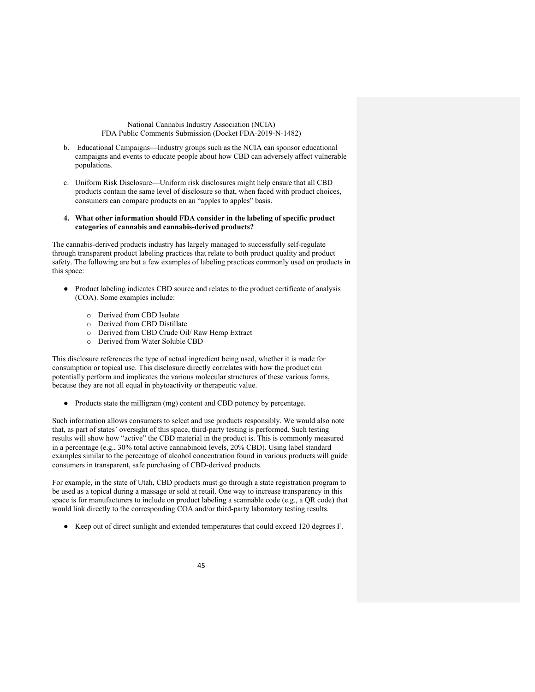- b. Educational Campaigns—Industry groups such as the NCIA can sponsor educational campaigns and events to educate people about how CBD can adversely affect vulnerable populations.
- c. Uniform Risk Disclosure—Uniform risk disclosures might help ensure that all CBD products contain the same level of disclosure so that, when faced with product choices, consumers can compare products on an "apples to apples" basis.

#### **4. What other information should FDA consider in the labeling of specific product categories of cannabis and cannabis-derived products?**

The cannabis-derived products industry has largely managed to successfully self-regulate through transparent product labeling practices that relate to both product quality and product safety. The following are but a few examples of labeling practices commonly used on products in this space:

- Product labeling indicates CBD source and relates to the product certificate of analysis (COA). Some examples include:
	- o Derived from CBD Isolate
	- o Derived from CBD Distillate
	- o Derived from CBD Crude Oil/ Raw Hemp Extract
	- o Derived from Water Soluble CBD

This disclosure references the type of actual ingredient being used, whether it is made for consumption or topical use. This disclosure directly correlates with how the product can potentially perform and implicates the various molecular structures of these various forms, because they are not all equal in phytoactivity or therapeutic value.

● Products state the milligram (mg) content and CBD potency by percentage.

Such information allows consumers to select and use products responsibly. We would also note that, as part of states' oversight of this space, third-party testing is performed. Such testing results will show how "active" the CBD material in the product is. This is commonly measured in a percentage (e.g., 30% total active cannabinoid levels, 20% CBD). Using label standard examples similar to the percentage of alcohol concentration found in various products will guide consumers in transparent, safe purchasing of CBD-derived products.

For example, in the state of Utah, CBD products must go through a state registration program to be used as a topical during a massage or sold at retail. One way to increase transparency in this space is for manufacturers to include on product labeling a scannable code (e.g., a QR code) that would link directly to the corresponding COA and/or third-party laboratory testing results.

● Keep out of direct sunlight and extended temperatures that could exceed 120 degrees F.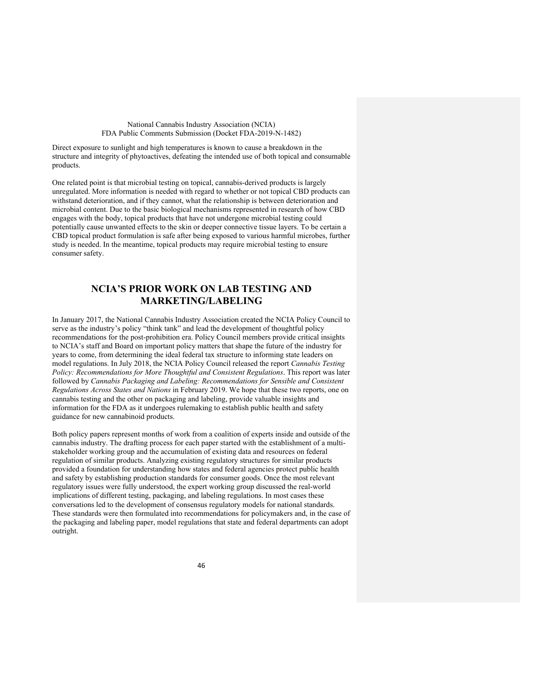Direct exposure to sunlight and high temperatures is known to cause a breakdown in the structure and integrity of phytoactives, defeating the intended use of both topical and consumable products.

One related point is that microbial testing on topical, cannabis-derived products is largely unregulated. More information is needed with regard to whether or not topical CBD products can withstand deterioration, and if they cannot, what the relationship is between deterioration and microbial content. Due to the basic biological mechanisms represented in research of how CBD engages with the body, topical products that have not undergone microbial testing could potentially cause unwanted effects to the skin or deeper connective tissue layers. To be certain a CBD topical product formulation is safe after being exposed to various harmful microbes, further study is needed. In the meantime, topical products may require microbial testing to ensure consumer safety.

# **NCIA'S PRIOR WORK ON LAB TESTING AND MARKETING/LABELING**

In January 2017, the National Cannabis Industry Association created the NCIA Policy Council to serve as the industry's policy "think tank" and lead the development of thoughtful policy recommendations for the post-prohibition era. Policy Council members provide critical insights to NCIA's staff and Board on important policy matters that shape the future of the industry for years to come, from determining the ideal federal tax structure to informing state leaders on model regulations. In July 2018, the NCIA Policy Council released the report *Cannabis Testing Policy: Recommendations for More Thoughtful and Consistent Regulations*. This report was later followed by *Cannabis Packaging and Labeling: Recommendations for Sensible and Consistent Regulations Across States and Nations* in February 2019. We hope that these two reports, one on cannabis testing and the other on packaging and labeling, provide valuable insights and information for the FDA as it undergoes rulemaking to establish public health and safety guidance for new cannabinoid products.

Both policy papers represent months of work from a coalition of experts inside and outside of the cannabis industry. The drafting process for each paper started with the establishment of a multistakeholder working group and the accumulation of existing data and resources on federal regulation of similar products. Analyzing existing regulatory structures for similar products provided a foundation for understanding how states and federal agencies protect public health and safety by establishing production standards for consumer goods. Once the most relevant regulatory issues were fully understood, the expert working group discussed the real-world implications of different testing, packaging, and labeling regulations. In most cases these conversations led to the development of consensus regulatory models for national standards. These standards were then formulated into recommendations for policymakers and, in the case of the packaging and labeling paper, model regulations that state and federal departments can adopt outright.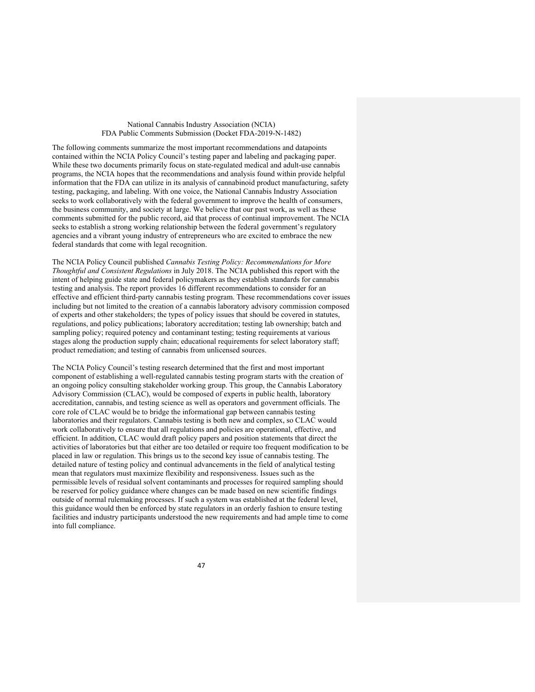The following comments summarize the most important recommendations and datapoints contained within the NCIA Policy Council's testing paper and labeling and packaging paper. While these two documents primarily focus on state-regulated medical and adult-use cannabis programs, the NCIA hopes that the recommendations and analysis found within provide helpful information that the FDA can utilize in its analysis of cannabinoid product manufacturing, safety testing, packaging, and labeling. With one voice, the National Cannabis Industry Association seeks to work collaboratively with the federal government to improve the health of consumers, the business community, and society at large. We believe that our past work, as well as these comments submitted for the public record, aid that process of continual improvement. The NCIA seeks to establish a strong working relationship between the federal government's regulatory agencies and a vibrant young industry of entrepreneurs who are excited to embrace the new federal standards that come with legal recognition.

The NCIA Policy Council published *Cannabis Testing Policy: Recommendations for More Thoughtful and Consistent Regulations* in July 2018. The NCIA published this report with the intent of helping guide state and federal policymakers as they establish standards for cannabis testing and analysis. The report provides 16 different recommendations to consider for an effective and efficient third-party cannabis testing program. These recommendations cover issues including but not limited to the creation of a cannabis laboratory advisory commission composed of experts and other stakeholders; the types of policy issues that should be covered in statutes, regulations, and policy publications; laboratory accreditation; testing lab ownership; batch and sampling policy; required potency and contaminant testing; testing requirements at various stages along the production supply chain; educational requirements for select laboratory staff; product remediation; and testing of cannabis from unlicensed sources.

The NCIA Policy Council's testing research determined that the first and most important component of establishing a well-regulated cannabis testing program starts with the creation of an ongoing policy consulting stakeholder working group. This group, the Cannabis Laboratory Advisory Commission (CLAC), would be composed of experts in public health, laboratory accreditation, cannabis, and testing science as well as operators and government officials. The core role of CLAC would be to bridge the informational gap between cannabis testing laboratories and their regulators. Cannabis testing is both new and complex, so CLAC would work collaboratively to ensure that all regulations and policies are operational, effective, and efficient. In addition, CLAC would draft policy papers and position statements that direct the activities of laboratories but that either are too detailed or require too frequent modification to be placed in law or regulation. This brings us to the second key issue of cannabis testing. The detailed nature of testing policy and continual advancements in the field of analytical testing mean that regulators must maximize flexibility and responsiveness. Issues such as the permissible levels of residual solvent contaminants and processes for required sampling should be reserved for policy guidance where changes can be made based on new scientific findings outside of normal rulemaking processes. If such a system was established at the federal level, this guidance would then be enforced by state regulators in an orderly fashion to ensure testing facilities and industry participants understood the new requirements and had ample time to come into full compliance.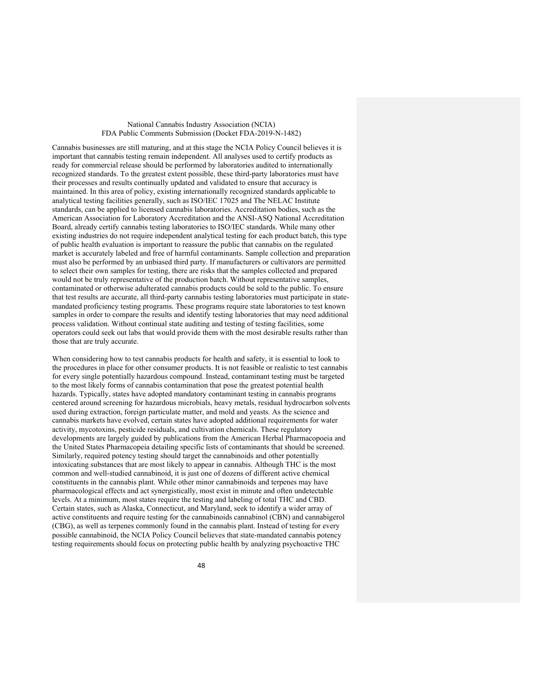Cannabis businesses are still maturing, and at this stage the NCIA Policy Council believes it is important that cannabis testing remain independent. All analyses used to certify products as ready for commercial release should be performed by laboratories audited to internationally recognized standards. To the greatest extent possible, these third-party laboratories must have their processes and results continually updated and validated to ensure that accuracy is maintained. In this area of policy, existing internationally recognized standards applicable to analytical testing facilities generally, such as ISO/IEC 17025 and The NELAC Institute standards, can be applied to licensed cannabis laboratories. Accreditation bodies, such as the American Association for Laboratory Accreditation and the ANSI-ASQ National Accreditation Board, already certify cannabis testing laboratories to ISO/IEC standards. While many other existing industries do not require independent analytical testing for each product batch, this type of public health evaluation is important to reassure the public that cannabis on the regulated market is accurately labeled and free of harmful contaminants. Sample collection and preparation must also be performed by an unbiased third party. If manufacturers or cultivators are permitted to select their own samples for testing, there are risks that the samples collected and prepared would not be truly representative of the production batch. Without representative samples, contaminated or otherwise adulterated cannabis products could be sold to the public. To ensure that test results are accurate, all third-party cannabis testing laboratories must participate in statemandated proficiency testing programs. These programs require state laboratories to test known samples in order to compare the results and identify testing laboratories that may need additional process validation. Without continual state auditing and testing of testing facilities, some operators could seek out labs that would provide them with the most desirable results rather than those that are truly accurate.

When considering how to test cannabis products for health and safety, it is essential to look to the procedures in place for other consumer products. It is not feasible or realistic to test cannabis for every single potentially hazardous compound. Instead, contaminant testing must be targeted to the most likely forms of cannabis contamination that pose the greatest potential health hazards. Typically, states have adopted mandatory contaminant testing in cannabis programs centered around screening for hazardous microbials, heavy metals, residual hydrocarbon solvents used during extraction, foreign particulate matter, and mold and yeasts. As the science and cannabis markets have evolved, certain states have adopted additional requirements for water activity, mycotoxins, pesticide residuals, and cultivation chemicals. These regulatory developments are largely guided by publications from the American Herbal Pharmacopoeia and the United States Pharmacopeia detailing specific lists of contaminants that should be screened. Similarly, required potency testing should target the cannabinoids and other potentially intoxicating substances that are most likely to appear in cannabis. Although THC is the most common and well-studied cannabinoid, it is just one of dozens of different active chemical constituents in the cannabis plant. While other minor cannabinoids and terpenes may have pharmacological effects and act synergistically, most exist in minute and often undetectable levels. At a minimum, most states require the testing and labeling of total THC and CBD. Certain states, such as Alaska, Connecticut, and Maryland, seek to identify a wider array of active constituents and require testing for the cannabinoids cannabinol (CBN) and cannabigerol (CBG), as well as terpenes commonly found in the cannabis plant. Instead of testing for every possible cannabinoid, the NCIA Policy Council believes that state-mandated cannabis potency testing requirements should focus on protecting public health by analyzing psychoactive THC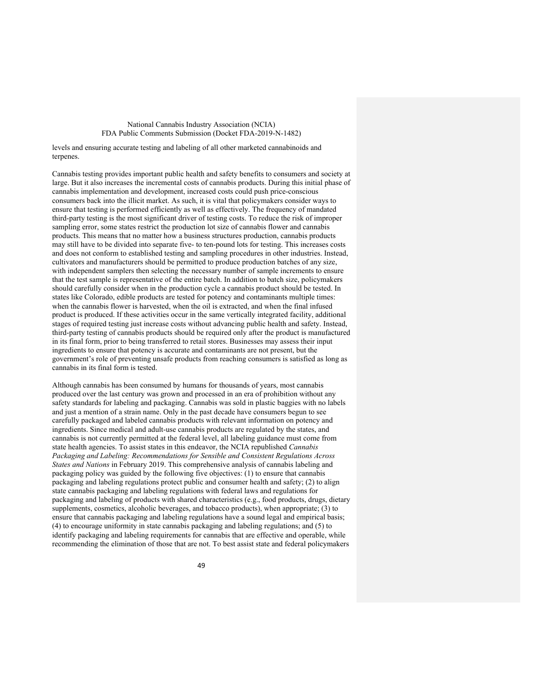levels and ensuring accurate testing and labeling of all other marketed cannabinoids and terpenes.

Cannabis testing provides important public health and safety benefits to consumers and society at large. But it also increases the incremental costs of cannabis products. During this initial phase of cannabis implementation and development, increased costs could push price-conscious consumers back into the illicit market. As such, it is vital that policymakers consider ways to ensure that testing is performed efficiently as well as effectively. The frequency of mandated third-party testing is the most significant driver of testing costs. To reduce the risk of improper sampling error, some states restrict the production lot size of cannabis flower and cannabis products. This means that no matter how a business structures production, cannabis products may still have to be divided into separate five- to ten-pound lots for testing. This increases costs and does not conform to established testing and sampling procedures in other industries. Instead, cultivators and manufacturers should be permitted to produce production batches of any size, with independent samplers then selecting the necessary number of sample increments to ensure that the test sample is representative of the entire batch. In addition to batch size, policymakers should carefully consider when in the production cycle a cannabis product should be tested. In states like Colorado, edible products are tested for potency and contaminants multiple times: when the cannabis flower is harvested, when the oil is extracted, and when the final infused product is produced. If these activities occur in the same vertically integrated facility, additional stages of required testing just increase costs without advancing public health and safety. Instead, third-party testing of cannabis products should be required only after the product is manufactured in its final form, prior to being transferred to retail stores. Businesses may assess their input ingredients to ensure that potency is accurate and contaminants are not present, but the government's role of preventing unsafe products from reaching consumers is satisfied as long as cannabis in its final form is tested.

Although cannabis has been consumed by humans for thousands of years, most cannabis produced over the last century was grown and processed in an era of prohibition without any safety standards for labeling and packaging. Cannabis was sold in plastic baggies with no labels and just a mention of a strain name. Only in the past decade have consumers begun to see carefully packaged and labeled cannabis products with relevant information on potency and ingredients. Since medical and adult-use cannabis products are regulated by the states, and cannabis is not currently permitted at the federal level, all labeling guidance must come from state health agencies. To assist states in this endeavor, the NCIA republished *Cannabis Packaging and Labeling: Recommendations for Sensible and Consistent Regulations Across States and Nations* in February 2019. This comprehensive analysis of cannabis labeling and packaging policy was guided by the following five objectives: (1) to ensure that cannabis packaging and labeling regulations protect public and consumer health and safety; (2) to align state cannabis packaging and labeling regulations with federal laws and regulations for packaging and labeling of products with shared characteristics (e.g., food products, drugs, dietary supplements, cosmetics, alcoholic beverages, and tobacco products), when appropriate; (3) to ensure that cannabis packaging and labeling regulations have a sound legal and empirical basis; (4) to encourage uniformity in state cannabis packaging and labeling regulations; and (5) to identify packaging and labeling requirements for cannabis that are effective and operable, while recommending the elimination of those that are not. To best assist state and federal policymakers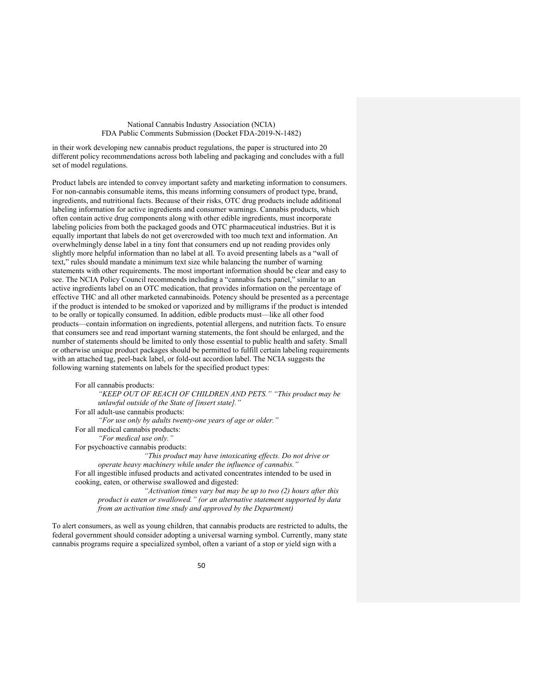in their work developing new cannabis product regulations, the paper is structured into 20 different policy recommendations across both labeling and packaging and concludes with a full set of model regulations.

Product labels are intended to convey important safety and marketing information to consumers. For non-cannabis consumable items, this means informing consumers of product type, brand, ingredients, and nutritional facts. Because of their risks, OTC drug products include additional labeling information for active ingredients and consumer warnings. Cannabis products, which often contain active drug components along with other edible ingredients, must incorporate labeling policies from both the packaged goods and OTC pharmaceutical industries. But it is equally important that labels do not get overcrowded with too much text and information. An overwhelmingly dense label in a tiny font that consumers end up not reading provides only slightly more helpful information than no label at all. To avoid presenting labels as a "wall of text," rules should mandate a minimum text size while balancing the number of warning statements with other requirements. The most important information should be clear and easy to see. The NCIA Policy Council recommends including a "cannabis facts panel," similar to an active ingredients label on an OTC medication, that provides information on the percentage of effective THC and all other marketed cannabinoids. Potency should be presented as a percentage if the product is intended to be smoked or vaporized and by milligrams if the product is intended to be orally or topically consumed. In addition, edible products must—like all other food products—contain information on ingredients, potential allergens, and nutrition facts. To ensure that consumers see and read important warning statements, the font should be enlarged, and the number of statements should be limited to only those essential to public health and safety. Small or otherwise unique product packages should be permitted to fulfill certain labeling requirements with an attached tag, peel-back label, or fold-out accordion label. The NCIA suggests the following warning statements on labels for the specified product types:

For all cannabis products: *"KEEP OUT OF REACH OF CHILDREN AND PETS." "This product may be unlawful outside of the State of [insert state]."* For all adult-use cannabis products: *"For use only by adults twenty-one years of age or older."* For all medical cannabis products: *"For medical use only."* For psychoactive cannabis products: *"This product may have intoxicating effects. Do not drive or operate heavy machinery while under the influence of cannabis."* For all ingestible infused products and activated concentrates intended to be used in cooking, eaten, or otherwise swallowed and digested:

*"Activation times vary but may be up to two (2) hours after this product is eaten or swallowed." (or an alternative statement supported by data from an activation time study and approved by the Department)*

To alert consumers, as well as young children, that cannabis products are restricted to adults, the federal government should consider adopting a universal warning symbol. Currently, many state cannabis programs require a specialized symbol, often a variant of a stop or yield sign with a